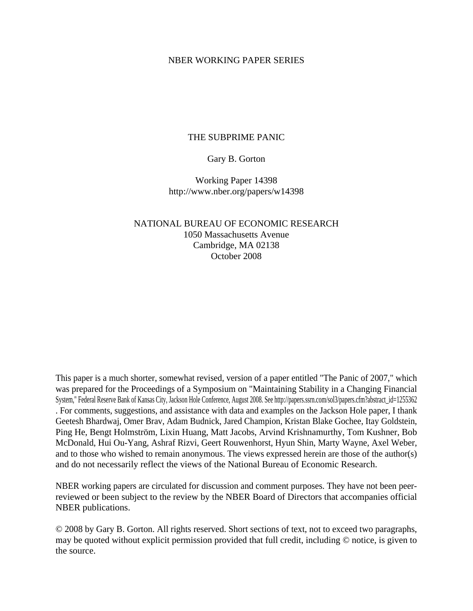## NBER WORKING PAPER SERIES

## THE SUBPRIME PANIC

## Gary B. Gorton

Working Paper 14398 http://www.nber.org/papers/w14398

# NATIONAL BUREAU OF ECONOMIC RESEARCH 1050 Massachusetts Avenue Cambridge, MA 02138 October 2008

This paper is a much shorter, somewhat revised, version of a paper entitled "The Panic of 2007," which was prepared for the Proceedings of a Symposium on "Maintaining Stability in a Changing Financial System," Federal Reserve Bank of Kansas City, Jackson Hole Conference, August 2008. See http://papers.ssrn.com/sol3/papers.cfm?abstract\_id=1255362 . For comments, suggestions, and assistance with data and examples on the Jackson Hole paper, I thank Geetesh Bhardwaj, Omer Brav, Adam Budnick, Jared Champion, Kristan Blake Gochee, Itay Goldstein, Ping He, Bengt Holmström, Lixin Huang, Matt Jacobs, Arvind Krishnamurthy, Tom Kushner, Bob McDonald, Hui Ou-Yang, Ashraf Rizvi, Geert Rouwenhorst, Hyun Shin, Marty Wayne, Axel Weber, and to those who wished to remain anonymous. The views expressed herein are those of the author(s) and do not necessarily reflect the views of the National Bureau of Economic Research.

NBER working papers are circulated for discussion and comment purposes. They have not been peerreviewed or been subject to the review by the NBER Board of Directors that accompanies official NBER publications.

© 2008 by Gary B. Gorton. All rights reserved. Short sections of text, not to exceed two paragraphs, may be quoted without explicit permission provided that full credit, including © notice, is given to the source.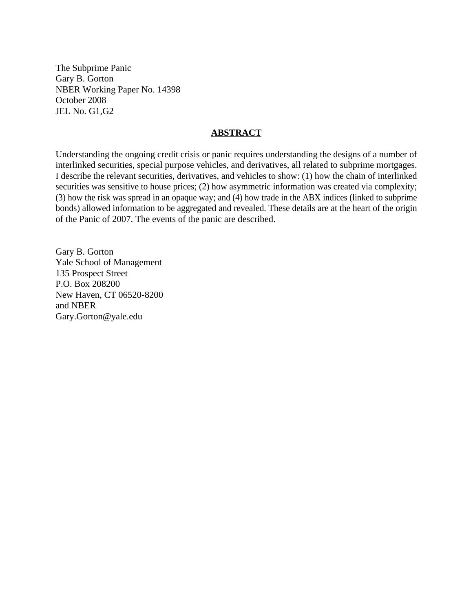The Subprime Panic Gary B. Gorton NBER Working Paper No. 14398 October 2008 JEL No. G1,G2

## **ABSTRACT**

Understanding the ongoing credit crisis or panic requires understanding the designs of a number of interlinked securities, special purpose vehicles, and derivatives, all related to subprime mortgages. I describe the relevant securities, derivatives, and vehicles to show: (1) how the chain of interlinked securities was sensitive to house prices; (2) how asymmetric information was created via complexity; (3) how the risk was spread in an opaque way; and (4) how trade in the ABX indices (linked to subprime bonds) allowed information to be aggregated and revealed. These details are at the heart of the origin of the Panic of 2007. The events of the panic are described.

Gary B. Gorton Yale School of Management 135 Prospect Street P.O. Box 208200 New Haven, CT 06520-8200 and NBER Gary.Gorton@yale.edu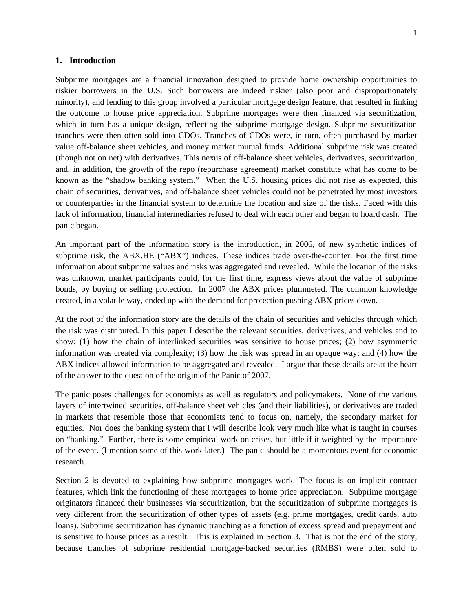#### **1. Introduction**

panic began.

Subprime mortgages are a financial innovation designed to provide home ownership opportunities to riskier borrowers in the U.S. Such borrowers are indeed riskier (also poor and disproportionately minority), and lending to this group involved a particular mortgage design feature, that resulted in linking the outcome to house price appreciation. Subprime mortgages were then financed via securitization, which in turn has a unique design, reflecting the subprime mortgage design. Subprime securitization tranches were then often sold into CDOs. Tranches of CDOs were, in turn, often purchased by market value off-balance sheet vehicles, and money market mutual funds. Additional subprime risk was created (though not on net) with derivatives. This nexus of off-balance sheet vehicles, derivatives, securitization, and, in addition, the growth of the repo (repurchase agreement) market constitute what has come to be known as the "shadow banking system." When the U.S. housing prices did not rise as expected, this chain of securities, derivatives, and off-balance sheet vehicles could not be penetrated by most investors or counterparties in the financial system to determine the location and size of the risks. Faced with this lack of information, financial intermediaries refused to deal with each other and began to hoard cash. The

An important part of the information story is the introduction, in 2006, of new synthetic indices of subprime risk, the ABX.HE ("ABX") indices. These indices trade over-the-counter. For the first time information about subprime values and risks was aggregated and revealed. While the location of the risks was unknown, market participants could, for the first time, express views about the value of subprime bonds, by buying or selling protection. In 2007 the ABX prices plummeted. The common knowledge created, in a volatile way, ended up with the demand for protection pushing ABX prices down.

At the root of the information story are the details of the chain of securities and vehicles through which the risk was distributed. In this paper I describe the relevant securities, derivatives, and vehicles and to show: (1) how the chain of interlinked securities was sensitive to house prices; (2) how asymmetric information was created via complexity; (3) how the risk was spread in an opaque way; and (4) how the ABX indices allowed information to be aggregated and revealed. I argue that these details are at the heart of the answer to the question of the origin of the Panic of 2007.

The panic poses challenges for economists as well as regulators and policymakers. None of the various layers of intertwined securities, off-balance sheet vehicles (and their liabilities), or derivatives are traded in markets that resemble those that economists tend to focus on, namely, the secondary market for equities. Nor does the banking system that I will describe look very much like what is taught in courses on "banking." Further, there is some empirical work on crises, but little if it weighted by the importance of the event. (I mention some of this work later.) The panic should be a momentous event for economic research.

Section 2 is devoted to explaining how subprime mortgages work. The focus is on implicit contract features, which link the functioning of these mortgages to home price appreciation. Subprime mortgage originators financed their businesses via securitization, but the securitization of subprime mortgages is very different from the securitization of other types of assets (e.g. prime mortgages, credit cards, auto loans). Subprime securitization has dynamic tranching as a function of excess spread and prepayment and is sensitive to house prices as a result. This is explained in Section 3. That is not the end of the story, because tranches of subprime residential mortgage-backed securities (RMBS) were often sold to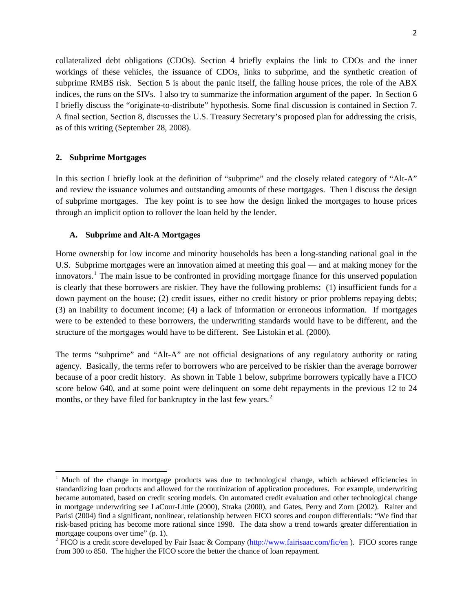collateralized debt obligations (CDOs). Section 4 briefly explains the link to CDOs and the inner workings of these vehicles, the issuance of CDOs, links to subprime, and the synthetic creation of subprime RMBS risk. Section 5 is about the panic itself, the falling house prices, the role of the ABX indices, the runs on the SIVs. I also try to summarize the information argument of the paper. In Section 6 I briefly discuss the "originate-to-distribute" hypothesis. Some final discussion is contained in Section 7. A final section, Section 8, discusses the U.S. Treasury Secretary's proposed plan for addressing the crisis, as of this writing (September 28, 2008).

### **2. Subprime Mortgages**

In this section I briefly look at the definition of "subprime" and the closely related category of "Alt-A" and review the issuance volumes and outstanding amounts of these mortgages. Then I discuss the design of subprime mortgages. The key point is to see how the design linked the mortgages to house prices through an implicit option to rollover the loan held by the lender.

#### **A. Subprime and Alt-A Mortgages**

Home ownership for low income and minority households has been a long-standing national goal in the U.S. Subprime mortgages were an innovation aimed at meeting this goal — and at making money for the innovators.<sup>[1](#page-3-0)</sup> The main issue to be confronted in providing mortgage finance for this unserved population is clearly that these borrowers are riskier. They have the following problems: (1) insufficient funds for a down payment on the house; (2) credit issues, either no credit history or prior problems repaying debts; (3) an inability to document income; (4) a lack of information or erroneous information. If mortgages were to be extended to these borrowers, the underwriting standards would have to be different, and the structure of the mortgages would have to be different. See Listokin et al. (2000).

The terms "subprime" and "Alt-A" are not official designations of any regulatory authority or rating agency. Basically, the terms refer to borrowers who are perceived to be riskier than the average borrower because of a poor credit history. As shown in Table 1 below, subprime borrowers typically have a FICO score below 640, and at some point were delinquent on some debt repayments in the previous 12 to 24 months, or they have filed for bankruptcy in the last few years.<sup>[2](#page-3-1)</sup>

<span id="page-3-0"></span><sup>&</sup>lt;sup>1</sup> Much of the change in mortgage products was due to technological change, which achieved efficiencies in standardizing loan products and allowed for the routinization of application procedures. For example, underwriting became automated, based on credit scoring models. On automated credit evaluation and other technological change in mortgage underwriting see LaCour-Little (2000), Straka (2000), and Gates, Perry and Zorn (2002). Raiter and Parisi (2004) find a significant, nonlinear, relationship between FICO scores and coupon differentials: "We find that risk-based pricing has become more rational since 1998. The data show a trend towards greater differentiation in mortgage coupons over time" (p. 1).

<span id="page-3-1"></span><sup>&</sup>lt;sup>2</sup> FICO is a credit score developed by Fair Isaac & Company ( $\frac{http://www.fairisaac.com/fic/en}{http://www.fairisaac.com/fic/en}$ ). FICO scores range from 300 to 850. The higher the FICO score the better the chance of loan repayment.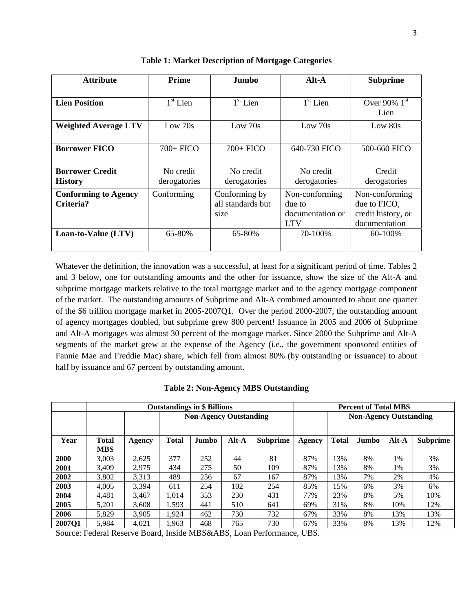| <b>Attribute</b>            | <b>Prime</b> | Jumbo             | $Alt-A$          | <b>Subprime</b>    |
|-----------------------------|--------------|-------------------|------------------|--------------------|
|                             |              |                   |                  |                    |
| <b>Lien Position</b>        | $1st$ Lien   | $1st$ Lien        | $1st$ Lien       | Over 90% $1st$     |
|                             |              |                   |                  | Lien               |
| <b>Weighted Average LTV</b> | Low 70s      | Low 70s           | $Low \, 70s$     | Low 80s            |
|                             |              |                   |                  |                    |
| <b>Borrower FICO</b>        | $700+$ FICO  | $700+$ FICO       | 640-730 FICO     | 500-660 FICO       |
|                             |              |                   |                  |                    |
| <b>Borrower Credit</b>      | No credit    | No credit         | No credit        | Credit             |
| <b>History</b>              | derogatories | derogatories      | derogatories     | derogatories       |
| <b>Conforming to Agency</b> | Conforming   | Conforming by     | Non-conforming   | Non-conforming     |
| Criteria?                   |              | all standards but | due to           | due to FICO,       |
|                             |              | size              | documentation or | credit history, or |
|                             |              |                   | <b>LTV</b>       | documentation      |
| Loan-to-Value (LTV)         | 65-80%       | 65-80%            | 70-100%          | 60-100%            |
|                             |              |                   |                  |                    |

**Table 1: Market Description of Mortgage Categories** 

Whatever the definition, the innovation was a successful, at least for a significant period of time. Tables 2 and 3 below, one for outstanding amounts and the other for issuance, show the size of the Alt-A and subprime mortgage markets relative to the total mortgage market and to the agency mortgage component of the market. The outstanding amounts of Subprime and Alt-A combined amounted to about one quarter of the \$6 trillion mortgage market in 2005-2007Q1. Over the period 2000-2007, the outstanding amount of agency mortgages doubled, but subprime grew 800 percent! Issuance in 2005 and 2006 of Subprime and Alt-A mortgages was almost 30 percent of the mortgage market. Since 2000 the Subprime and Alt-A segments of the market grew at the expense of the Agency (i.e., the government sponsored entities of Fannie Mae and Freddie Mac) share, which fell from almost 80% (by outstanding or issuance) to about half by issuance and 67 percent by outstanding amount.

|             | <b>Outstandings in \$ Billions</b> |        |              |                               | <b>Percent of Total MBS</b> |                 |        |              |                               |         |                 |
|-------------|------------------------------------|--------|--------------|-------------------------------|-----------------------------|-----------------|--------|--------------|-------------------------------|---------|-----------------|
|             |                                    |        |              | <b>Non-Agency Outstanding</b> |                             |                 |        |              | <b>Non-Agency Outstanding</b> |         |                 |
|             |                                    |        |              |                               |                             |                 |        |              |                               |         |                 |
| Year        | <b>Total</b>                       | Agency | <b>Total</b> | Jumbo                         | $Alt-A$                     | <b>Subprime</b> | Agency | <b>Total</b> | Jumbo                         | $Alt-A$ | <b>Subprime</b> |
|             | <b>MBS</b>                         |        |              |                               |                             |                 |        |              |                               |         |                 |
| <b>2000</b> | 3.003                              | 2.625  | 377          | 252                           | 44                          | 81              | 87%    | 13%          | 8%                            | 1%      | 3%              |
| 2001        | 3.409                              | 2.975  | 434          | 275                           | 50                          | 109             | 87%    | 13%          | 8%                            | 1%      | 3%              |
| 2002        | 3,802                              | 3,313  | 489          | 256                           | 67                          | 167             | 87%    | 13%          | 7%                            | 2%      | 4%              |
| 2003        | 4.005                              | 3,394  | 611          | 254                           | 102                         | 254             | 85%    | 15%          | 6%                            | 3%      | 6%              |
| 2004        | 4.481                              | 3.467  | 1.014        | 353                           | 230                         | 431             | 77%    | 23%          | 8%                            | 5%      | 10%             |
| 2005        | 5,201                              | 3,608  | 1,593        | 441                           | 510                         | 641             | 69%    | 31%          | 8%                            | 10%     | 12%             |
| 2006        | 5,829                              | 3.905  | 1,924        | 462                           | 730                         | 732             | 67%    | 33%          | 8%                            | 13%     | 13%             |
| 2007Q1      | 5.984                              | 4.021  | .963         | 468                           | 765                         | 730             | 67%    | 33%          | 8%                            | 13%     | 12%             |

Source: Federal Reserve Board, Inside MBS&ABS, Loan Performance, UBS.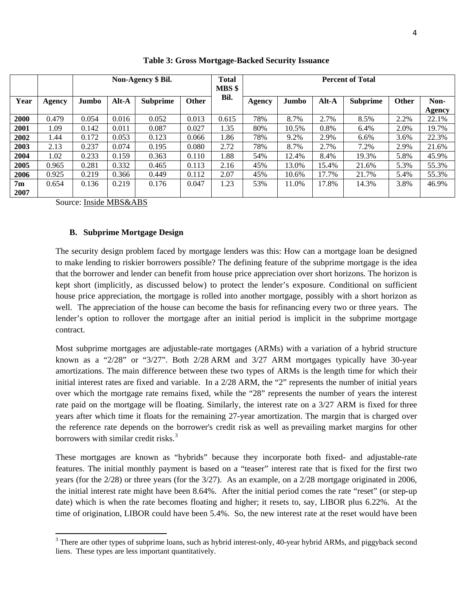|             |        | Non-Agency \$ Bil. |         |                 | <b>Total</b><br>MBS \$ |       |        |       | <b>Percent of Total</b> |                 |       |                |
|-------------|--------|--------------------|---------|-----------------|------------------------|-------|--------|-------|-------------------------|-----------------|-------|----------------|
| Year        | Agency | Jumbo              | $Alt-A$ | <b>Subprime</b> | <b>Other</b>           | Bil.  | Agency | Jumbo | $Alt-A$                 | <b>Subprime</b> | Other | Non-<br>Agency |
| <b>2000</b> | 0.479  | 0.054              | 0.016   | 0.052           | 0.013                  | 0.615 | 78%    | 8.7%  | 2.7%                    | 8.5%            | 2.2%  | 22.1%          |
| 2001        | .09    | 0.142              | 0.011   | 0.087           | 0.027                  | 1.35  | 80%    | 10.5% | 0.8%                    | 6.4%            | 2.0%  | 19.7%          |
| 2002        | l.44   | 0.172              | 0.053   | 0.123           | 0.066                  | 1.86  | 78%    | 9.2%  | 2.9%                    | 6.6%            | 3.6%  | 22.3%          |
| 2003        | 2.13   | 0.237              | 0.074   | 0.195           | 0.080                  | 2.72  | 78%    | 8.7%  | 2.7%                    | 7.2%            | 2.9%  | 21.6%          |
| 2004        | 1.02   | 0.233              | 0.159   | 0.363           | 0.110                  | 1.88  | 54%    | 12.4% | 8.4%                    | 19.3%           | 5.8%  | 45.9%          |
| 2005        | 0.965  | 0.281              | 0.332   | 0.465           | 0.113                  | 2.16  | 45%    | 13.0% | 15.4%                   | 21.6%           | 5.3%  | 55.3%          |
| 2006        | 0.925  | 0.219              | 0.366   | 0.449           | 0.112                  | 2.07  | 45%    | 10.6% | 17.7%                   | 21.7%           | 5.4%  | 55.3%          |
| 7m<br>2007  | 0.654  | 0.136              | 0.219   | 0.176           | 0.047                  | 1.23  | 53%    | 11.0% | 17.8%                   | 14.3%           | 3.8%  | 46.9%          |

**Table 3: Gross Mortgage-Backed Security Issuance** 

Source: Inside MBS&ABS

### **B. Subprime Mortgage Design**

The security design problem faced by mortgage lenders was this: How can a mortgage loan be designed to make lending to riskier borrowers possible? The defining feature of the subprime mortgage is the idea that the borrower and lender can benefit from house price appreciation over short horizons. The horizon is kept short (implicitly, as discussed below) to protect the lender's exposure. Conditional on sufficient house price appreciation, the mortgage is rolled into another mortgage, possibly with a short horizon as well. The appreciation of the house can become the basis for refinancing every two or three years. The lender's option to rollover the mortgage after an initial period is implicit in the subprime mortgage contract.

Most subprime mortgages are adjustable-rate mortgages (ARMs) with a variation of a hybrid structure known as a "2/28" or "3/27". Both [2/28 ARM](http://www.investopedia.com/terms/2/228arm.asp) and [3/27 ARM](http://www.investopedia.com/terms/1/327arm.asp) mortgages typically have 30-year [amortizations.](http://www.investopedia.com/terms/a/amortization.asp) The main difference between these two types of ARMs is the length time for which their initial interest rates are fixed and variable. In a 2/28 ARM, the "2" represents the number of initial years over which the mortgage rate remains fixed, while the "28" represents the number of years the interest rate paid on the mortgage will be floating. Similarly, the interest rate on a 3/27 ARM is fixed for three years after which time it floats for the remaining 27-year amortization. The margin that is charged over the reference rate depends on the borrower's [credit risk](http://www.investopedia.com/terms/c/creditrisk.asp) as well as prevailing market margins for other borrowers with similar credit risks. $3$ 

These mortgages are known as "hybrids" because they incorporate both fixed- and adjustable-rate features. The initial monthly payment is based on a "teaser" interest rate that is fixed for the first two years (for the 2/28) or three years (for the 3/27). As an example, on a 2/28 mortgage originated in 2006, the initial interest rate might have been 8.64%. After the initial period comes the rate "reset" (or step-up date) which is when the rate becomes floating and higher; it resets to, say, LIBOR plus 6.22%. At the time of origination, LIBOR could have been 5.4%. So, the new interest rate at the reset would have been

<span id="page-5-0"></span><sup>&</sup>lt;sup>3</sup> There are other types of subprime loans, such as hybrid interest-only, 40-year hybrid ARMs, and piggyback second liens. These types are less important quantitatively.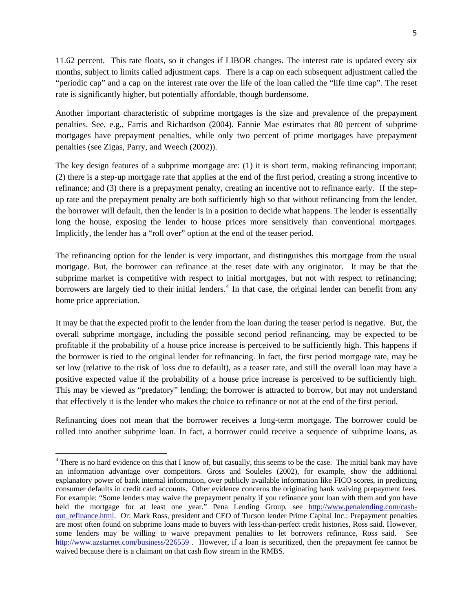11.62 percent. This rate floats, so it changes if LIBOR changes. The interest rate is updated every six months, subject to limits called adjustment caps. There is a cap on each subsequent adjustment called the "periodic cap" and a cap on the interest rate over the life of the loan called the "life time cap". The reset rate is significantly higher, but potentially affordable, though burdensome.

Another important characteristic of subprime mortgages is the size and prevalence of the prepayment penalties. See, e.g., Farris and Richardson (2004). Fannie Mae estimates that 80 percent of subprime mortgages have prepayment penalties, while only two percent of prime mortgages have prepayment penalties (see Zigas, Parry, and Weech (2002)).

The key design features of a subprime mortgage are: (1) it is short term, making refinancing important; (2) there is a step-up mortgage rate that applies at the end of the first period, creating a strong incentive to refinance; and (3) there is a prepayment penalty, creating an incentive not to refinance early. If the stepup rate and the prepayment penalty are both sufficiently high so that without refinancing from the lender, the borrower will default, then the lender is in a position to decide what happens. The lender is essentially long the house, exposing the lender to house prices more sensitively than conventional mortgages. Implicitly, the lender has a "roll over" option at the end of the teaser period.

The refinancing option for the lender is very important, and distinguishes this mortgage from the usual mortgage. But, the borrower can refinance at the reset date with any originator. It may be that the subprime market is competitive with respect to initial mortgages, but not with respect to refinancing; borrowers are largely tied to their initial lenders.<sup>[4](#page-6-0)</sup> In that case, the original lender can benefit from any home price appreciation.

It may be that the expected profit to the lender from the loan during the teaser period is negative. But, the overall subprime mortgage, including the possible second period refinancing, may be expected to be profitable if the probability of a house price increase is perceived to be sufficiently high. This happens if the borrower is tied to the original lender for refinancing. In fact, the first period mortgage rate, may be set low (relative to the risk of loss due to default), as a teaser rate, and still the overall loan may have a positive expected value if the probability of a house price increase is perceived to be sufficiently high. This may be viewed as "predatory" lending; the borrower is attracted to borrow, but may not understand that effectively it is the lender who makes the choice to refinance or not at the end of the first period.

Refinancing does not mean that the borrower receives a long-term mortgage. The borrower could be rolled into another subprime loan. In fact, a borrower could receive a sequence of subprime loans, as

<span id="page-6-0"></span> $4$  There is no hard evidence on this that I know of, but casually, this seems to be the case. The initial bank may have an information advantage over competitors. Gross and Souleles (2002), for example, show the additional explanatory power of bank internal information, over publicly available information like FICO scores, in predicting consumer defaults in credit card accounts. Other evidence concerns the originating bank waiving prepayment fees. For example: "Some lenders may waive the prepayment penalty if you refinance your loan with them and you have held the mortgage for at least one year." Pena Lending Group, see [http://www.penalending.com/cash](http://www.penalending.com/cash-out_refinance.html)[out\\_refinance.html.](http://www.penalending.com/cash-out_refinance.html) Or: Mark Ross, president and CEO of Tucson lender Prime Capital Inc.: Prepayment penalties are most often found on subprime loans made to buyers with less-than-perfect credit histories, Ross said. However, some lenders may be willing to waive prepayment penalties to let borrowers refinance, Ross said. See http://www.azstarnet.com/business/226559. However, if a loan is securitized, then the prepayment fee cannot be waived because there is a claimant on that cash flow stream in the RMBS.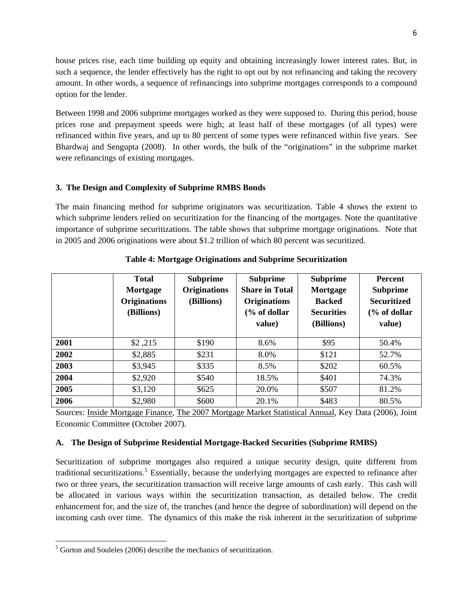house prices rise, each time building up equity and obtaining increasingly lower interest rates. But, in such a sequence, the lender effectively has the right to opt out by not refinancing and taking the recovery amount. In other words, a sequence of refinancings into subprime mortgages corresponds to a compound option for the lender.

Between 1998 and 2006 subprime mortgages worked as they were supposed to. During this period, house prices rose and prepayment speeds were high; at least half of these mortgages (of all types) were refinanced within five years, and up to 80 percent of some types were refinanced within five years. See Bhardwaj and Sengupta (2008). In other words, the bulk of the "originations" in the subprime market were refinancings of existing mortgages.

## **3. The Design and Complexity of Subprime RMBS Bonds**

The main financing method for subprime originators was securitization. Table 4 shows the extent to which subprime lenders relied on securitization for the financing of the mortgages. Note the quantitative importance of subprime securitizations. The table shows that subprime mortgage originations. Note that in 2005 and 2006 originations were about \$1.2 trillion of which 80 percent was securitized.

|      | <b>Total</b><br>Mortgage<br><b>Originations</b><br>(Billions) | <b>Subprime</b><br><b>Originations</b><br>(Billions) | <b>Subprime</b><br><b>Share in Total</b><br><b>Originations</b><br>$\frac{6}{6}$ of dollar<br>value) | <b>Subprime</b><br>Mortgage<br><b>Backed</b><br><b>Securities</b><br>(Billions) | <b>Percent</b><br><b>Subprime</b><br><b>Securitized</b><br>$\frac{6}{6}$ of dollar<br>value) |
|------|---------------------------------------------------------------|------------------------------------------------------|------------------------------------------------------------------------------------------------------|---------------------------------------------------------------------------------|----------------------------------------------------------------------------------------------|
| 2001 | \$2,215                                                       | \$190                                                | 8.6%                                                                                                 | \$95                                                                            | 50.4%                                                                                        |
| 2002 | \$2,885                                                       | \$231                                                | 8.0%                                                                                                 | \$121                                                                           | 52.7%                                                                                        |
| 2003 | \$3,945                                                       | \$335                                                | 8.5%                                                                                                 | \$202                                                                           | 60.5%                                                                                        |
| 2004 | \$2,920                                                       | \$540                                                | 18.5%                                                                                                | \$401                                                                           | 74.3%                                                                                        |
| 2005 | \$3,120                                                       | \$625                                                | 20.0%                                                                                                | \$507                                                                           | 81.2%                                                                                        |
| 2006 | \$2,980                                                       | \$600                                                | 20.1%                                                                                                | \$483                                                                           | 80.5%                                                                                        |

**Table 4: Mortgage Originations and Subprime Securitization** 

Sources: Inside Mortgage Finance, The 2007 Mortgage Market Statistical Annual, Key Data (2006), Joint Economic Committee (October 2007).

## **A. The Design of Subprime Residential Mortgage-Backed Securities (Subprime RMBS)**

Securitization of subprime mortgages also required a unique security design, quite different from traditional securitizations.<sup>[5](#page-7-0)</sup> Essentially, because the underlying mortgages are expected to refinance after two or three years, the securitization transaction will receive large amounts of cash early. This cash will be allocated in various ways within the securitization transaction, as detailed below. The credit enhancement for, and the size of, the tranches (and hence the degree of subordination) will depend on the incoming cash over time. The dynamics of this make the risk inherent in the securitization of subprime

<span id="page-7-0"></span><sup>&</sup>lt;sup>5</sup> Gorton and Souleles (2006) describe the mechanics of securitization.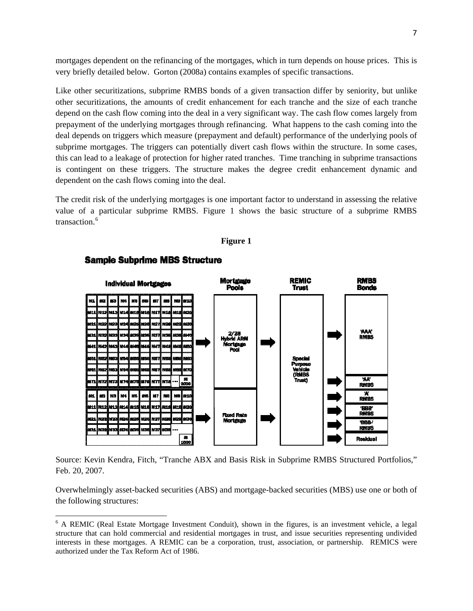mortgages dependent on the refinancing of the mortgages, which in turn depends on house prices. This is very briefly detailed below. Gorton (2008a) contains examples of specific transactions.

Like other securitizations, subprime RMBS bonds of a given transaction differ by seniority, but unlike other securitizations, the amounts of credit enhancement for each tranche and the size of each tranche depend on the cash flow coming into the deal in a very significant way. The cash flow comes largely from prepayment of the underlying mortgages through refinancing. What happens to the cash coming into the deal depends on triggers which measure (prepayment and default) performance of the underlying pools of subprime mortgages. The triggers can potentially divert cash flows within the structure. In some cases, this can lead to a leakage of protection for higher rated tranches. Time tranching in subprime transactions is contingent on these triggers. The structure makes the degree credit enhancement dynamic and dependent on the cash flows coming into the deal.

The credit risk of the underlying mortgages is one important factor to understand in assessing the relative value of a particular subprime RMBS. Figure 1 shows the basic structure of a subprime RMBS transaction.<sup>[6](#page-8-0)</sup>

**Figure 1** 



## **Sample Subprime MBS Structure**

Source: Kevin Kendra, Fitch, "Tranche ABX and Basis Risk in Subprime RMBS Structured Portfolios," Feb. 20, 2007.

Overwhelmingly asset-backed securities (ABS) and mortgage-backed securities (MBS) use one or both of the following structures:

<span id="page-8-0"></span><sup>&</sup>lt;sup>6</sup> A REMIC (Real Estate Mortgage Investment Conduit), shown in the figures, is an investment vehicle, a legal structure that can hold commercial and residential mortgages in trust, and issue securities representing undivided interests in these mortgages. A REMIC can be a corporation, trust, association, or partnership. REMICS were authorized under the Tax Reform Act of 1986.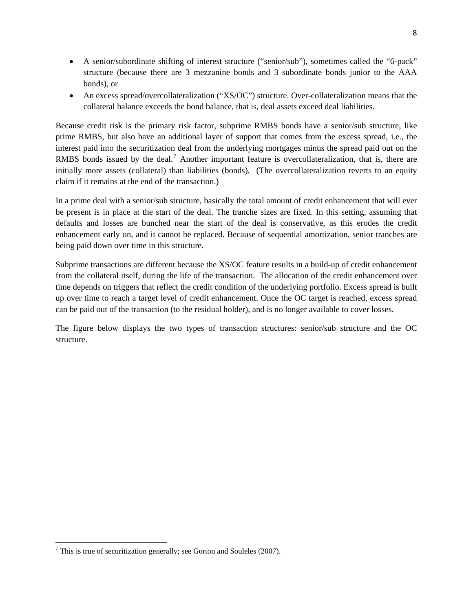- A senior/subordinate shifting of interest structure ("senior/sub"), sometimes called the "6-pack" structure (because there are 3 mezzanine bonds and 3 subordinate bonds junior to the AAA bonds), or
- An excess spread/overcollateralization ("XS/OC") structure. Over-collateralization means that the collateral balance exceeds the bond balance, that is, deal assets exceed deal liabilities.

Because credit risk is the primary risk factor, subprime RMBS bonds have a senior/sub structure, like prime RMBS, but also have an additional layer of support that comes from the excess spread, i.e., the interest paid into the securitization deal from the underlying mortgages minus the spread paid out on the RMBS bonds issued by the deal.<sup>[7](#page-9-0)</sup> Another important feature is overcollateralization, that is, there are initially more assets (collateral) than liabilities (bonds). (The overcollateralization reverts to an equity claim if it remains at the end of the transaction.)

In a prime deal with a senior/sub structure, basically the total amount of credit enhancement that will ever be present is in place at the start of the deal. The tranche sizes are fixed. In this setting, assuming that defaults and losses are bunched near the start of the deal is conservative, as this erodes the credit enhancement early on, and it cannot be replaced. Because of sequential amortization, senior tranches are being paid down over time in this structure.

Subprime transactions are different because the XS/OC feature results in a build-up of credit enhancement from the collateral itself, during the life of the transaction. The allocation of the credit enhancement over time depends on triggers that reflect the credit condition of the underlying portfolio. Excess spread is built up over time to reach a target level of credit enhancement. Once the OC target is reached, excess spread can be paid out of the transaction (to the residual holder), and is no longer available to cover losses.

The figure below displays the two types of transaction structures: senior/sub structure and the OC structure.

<sup>8</sup>

<span id="page-9-0"></span> <sup>7</sup> This is true of securitization generally; see Gorton and Souleles (2007).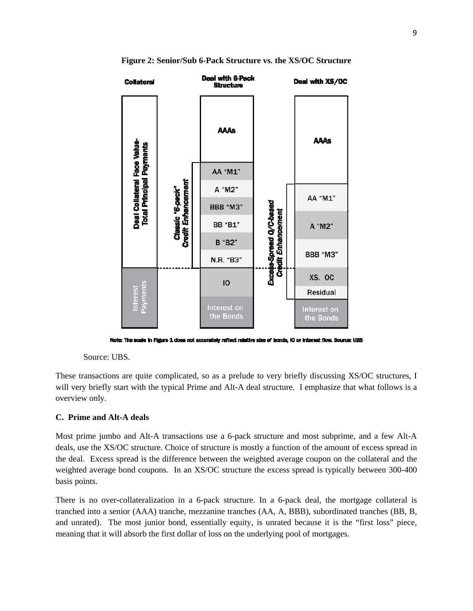

**Figure 2: Senior/Sub 6-Pack Structure vs. the XS/OC Structure** 

Note: The scale in Figure 1 does not accurately reflect relative size of bonds, IC or interest flow. Source: UBS

Source: UBS.

These transactions are quite complicated, so as a prelude to very briefly discussing XS/OC structures, I will very briefly start with the typical Prime and Alt-A deal structure. I emphasize that what follows is a overview only.

### **C. Prime and Alt-A deals**

Most prime jumbo and Alt-A transactions use a 6-pack structure and most subprime, and a few Alt-A deals, use the XS/OC structure. Choice of structure is mostly a function of the amount of excess spread in the deal. Excess spread is the difference between the weighted average coupon on the collateral and the weighted average bond coupons. In an XS/OC structure the excess spread is typically between 300-400 basis points.

There is no over-collateralization in a 6-pack structure. In a 6-pack deal, the mortgage collateral is tranched into a senior (AAA) tranche, mezzanine tranches (AA, A, BBB), subordinated tranches (BB, B, and unrated). The most junior bond, essentially equity, is unrated because it is the "first loss" piece, meaning that it will absorb the first dollar of loss on the underlying pool of mortgages.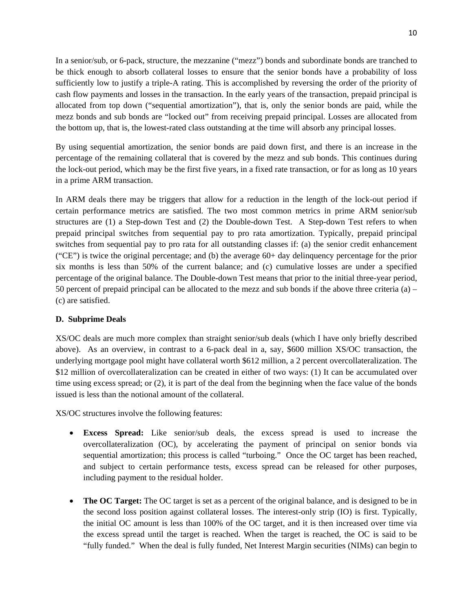In a senior/sub, or 6-pack, structure, the mezzanine ("mezz") bonds and subordinate bonds are tranched to be thick enough to absorb collateral losses to ensure that the senior bonds have a probability of loss sufficiently low to justify a triple-A rating. This is accomplished by reversing the order of the priority of cash flow payments and losses in the transaction. In the early years of the transaction, prepaid principal is allocated from top down ("sequential amortization"), that is, only the senior bonds are paid, while the mezz bonds and sub bonds are "locked out" from receiving prepaid principal. Losses are allocated from the bottom up, that is, the lowest-rated class outstanding at the time will absorb any principal losses.

By using sequential amortization, the senior bonds are paid down first, and there is an increase in the percentage of the remaining collateral that is covered by the mezz and sub bonds. This continues during the lock-out period, which may be the first five years, in a fixed rate transaction, or for as long as 10 years in a prime ARM transaction.

In ARM deals there may be triggers that allow for a reduction in the length of the lock-out period if certain performance metrics are satisfied. The two most common metrics in prime ARM senior/sub structures are (1) a Step-down Test and (2) the Double-down Test. A Step-down Test refers to when prepaid principal switches from sequential pay to pro rata amortization. Typically, prepaid principal switches from sequential pay to pro rata for all outstanding classes if: (a) the senior credit enhancement ("CE") is twice the original percentage; and (b) the average 60+ day delinquency percentage for the prior six months is less than 50% of the current balance; and (c) cumulative losses are under a specified percentage of the original balance. The Double-down Test means that prior to the initial three-year period, 50 percent of prepaid principal can be allocated to the mezz and sub bonds if the above three criteria (a) – (c) are satisfied.

## **D. Subprime Deals**

XS/OC deals are much more complex than straight senior/sub deals (which I have only briefly described above). As an overview, in contrast to a 6-pack deal in a, say, \$600 million XS/OC transaction, the underlying mortgage pool might have collateral worth \$612 million, a 2 percent overcollateralization. The \$12 million of overcollateralization can be created in either of two ways: (1) It can be accumulated over time using excess spread; or (2), it is part of the deal from the beginning when the face value of the bonds issued is less than the notional amount of the collateral.

XS/OC structures involve the following features:

- **Excess Spread:** Like senior/sub deals, the excess spread is used to increase the overcollateralization (OC), by accelerating the payment of principal on senior bonds via sequential amortization; this process is called "turboing." Once the OC target has been reached, and subject to certain performance tests, excess spread can be released for other purposes, including payment to the residual holder.
- **The OC Target:** The OC target is set as a percent of the original balance, and is designed to be in the second loss position against collateral losses. The interest-only strip (IO) is first. Typically, the initial OC amount is less than 100% of the OC target, and it is then increased over time via the excess spread until the target is reached. When the target is reached, the OC is said to be "fully funded." When the deal is fully funded, Net Interest Margin securities (NIMs) can begin to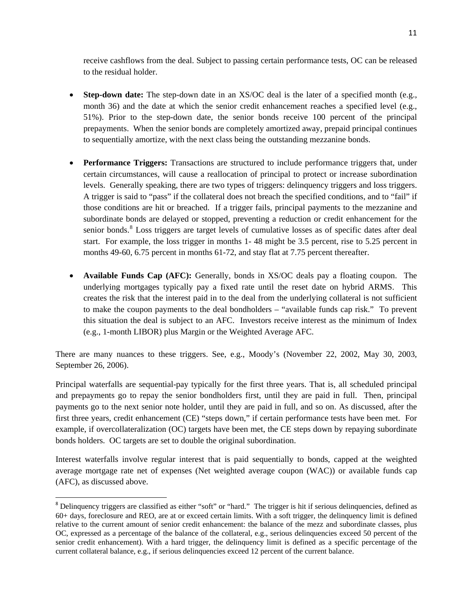receive cashflows from the deal. Subject to passing certain performance tests, OC can be released to the residual holder.

- **Step-down date:** The step-down date in an XS/OC deal is the later of a specified month (e.g., month 36) and the date at which the senior credit enhancement reaches a specified level (e.g., 51%). Prior to the step-down date, the senior bonds receive 100 percent of the principal prepayments. When the senior bonds are completely amortized away, prepaid principal continues to sequentially amortize, with the next class being the outstanding mezzanine bonds.
- **Performance Triggers:** Transactions are structured to include performance triggers that, under certain circumstances, will cause a reallocation of principal to protect or increase subordination levels. Generally speaking, there are two types of triggers: delinquency triggers and loss triggers. A trigger is said to "pass" if the collateral does not breach the specified conditions, and to "fail" if those conditions are hit or breached. If a trigger fails, principal payments to the mezzanine and subordinate bonds are delayed or stopped, preventing a reduction or credit enhancement for the senior bonds.<sup>[8](#page-12-0)</sup> Loss triggers are target levels of cumulative losses as of specific dates after deal start. For example, the loss trigger in months 1- 48 might be 3.5 percent, rise to 5.25 percent in months 49-60, 6.75 percent in months 61-72, and stay flat at 7.75 percent thereafter.
- **Available Funds Cap (AFC):** Generally, bonds in XS/OC deals pay a floating coupon. The underlying mortgages typically pay a fixed rate until the reset date on hybrid ARMS. This creates the risk that the interest paid in to the deal from the underlying collateral is not sufficient to make the coupon payments to the deal bondholders – "available funds cap risk." To prevent this situation the deal is subject to an AFC. Investors receive interest as the minimum of Index (e.g., 1-month LIBOR) plus Margin or the Weighted Average AFC.

There are many nuances to these triggers. See, e.g., Moody's (November 22, 2002, May 30, 2003, September 26, 2006).

Principal waterfalls are sequential-pay typically for the first three years. That is, all scheduled principal and prepayments go to repay the senior bondholders first, until they are paid in full. Then, principal payments go to the next senior note holder, until they are paid in full, and so on. As discussed, after the first three years, credit enhancement (CE) "steps down," if certain performance tests have been met. For example, if overcollateralization (OC) targets have been met, the CE steps down by repaying subordinate bonds holders. OC targets are set to double the original subordination.

Interest waterfalls involve regular interest that is paid sequentially to bonds, capped at the weighted average mortgage rate net of expenses (Net weighted average coupon (WAC)) or available funds cap (AFC), as discussed above.

<span id="page-12-0"></span><sup>&</sup>lt;sup>8</sup> Delinquency triggers are classified as either "soft" or "hard." The trigger is hit if serious delinquencies, defined as 60+ days, foreclosure and REO, are at or exceed certain limits. With a soft trigger, the delinquency limit is defined relative to the current amount of senior credit enhancement: the balance of the mezz and subordinate classes, plus OC, expressed as a percentage of the balance of the collateral, e.g., serious delinquencies exceed 50 percent of the senior credit enhancement). With a hard trigger, the delinquency limit is defined as a specific percentage of the current collateral balance, e.g., if serious delinquencies exceed 12 percent of the current balance.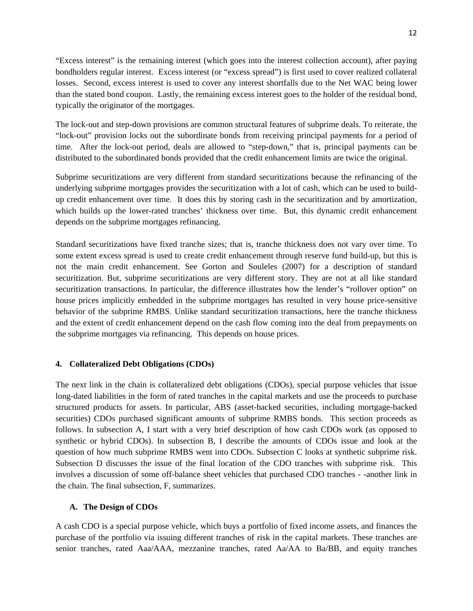"Excess interest" is the remaining interest (which goes into the interest collection account), after paying bondholders regular interest. Excess interest (or "excess spread") is first used to cover realized collateral losses. Second, excess interest is used to cover any interest shortfalls due to the Net WAC being lower than the stated bond coupon. Lastly, the remaining excess interest goes to the holder of the residual bond, typically the originator of the mortgages.

The lock-out and step-down provisions are common structural features of subprime deals. To reiterate, the "lock-out" provision locks out the subordinate bonds from receiving principal payments for a period of time. After the lock-out period, deals are allowed to "step-down," that is, principal payments can be distributed to the subordinated bonds provided that the credit enhancement limits are twice the original.

Subprime securitizations are very different from standard securitizations because the refinancing of the underlying subprime mortgages provides the securitization with a lot of cash, which can be used to buildup credit enhancement over time. It does this by storing cash in the securitization and by amortization, which builds up the lower-rated tranches' thickness over time. But, this dynamic credit enhancement depends on the subprime mortgages refinancing.

Standard securitizations have fixed tranche sizes; that is, tranche thickness does not vary over time. To some extent excess spread is used to create credit enhancement through reserve fund build-up, but this is not the main credit enhancement. See Gorton and Souleles (2007) for a description of standard securitization. But, subprime securitizations are very different story. They are not at all like standard securitization transactions. In particular, the difference illustrates how the lender's "rollover option" on house prices implicitly embedded in the subprime mortgages has resulted in very house price-sensitive behavior of the subprime RMBS. Unlike standard securitization transactions, here the tranche thickness and the extent of credit enhancement depend on the cash flow coming into the deal from prepayments on the subprime mortgages via refinancing. This depends on house prices.

#### **4. Collateralized Debt Obligations (CDOs)**

The next link in the chain is collateralized debt obligations (CDOs), special purpose vehicles that issue long-dated liabilities in the form of rated tranches in the capital markets and use the proceeds to purchase structured products for assets. In particular, ABS (asset-backed securities, including mortgage-backed securities) CDOs purchased significant amounts of subprime RMBS bonds. This section proceeds as follows. In subsection A, I start with a very brief description of how cash CDOs work (as opposed to synthetic or hybrid CDOs). In subsection B, I describe the amounts of CDOs issue and look at the question of how much subprime RMBS went into CDOs. Subsection C looks at synthetic subprime risk. Subsection D discusses the issue of the final location of the CDO tranches with subprime risk. This involves a discussion of some off-balance sheet vehicles that purchased CDO tranches - -another link in the chain. The final subsection, F, summarizes.

#### **A. The Design of CDOs**

A cash CDO is a special purpose vehicle, which buys a portfolio of fixed income assets, and finances the purchase of the portfolio via issuing different tranches of risk in the capital markets. These tranches are senior tranches, rated Aaa/AAA, mezzanine tranches, rated Aa/AA to Ba/BB, and equity tranches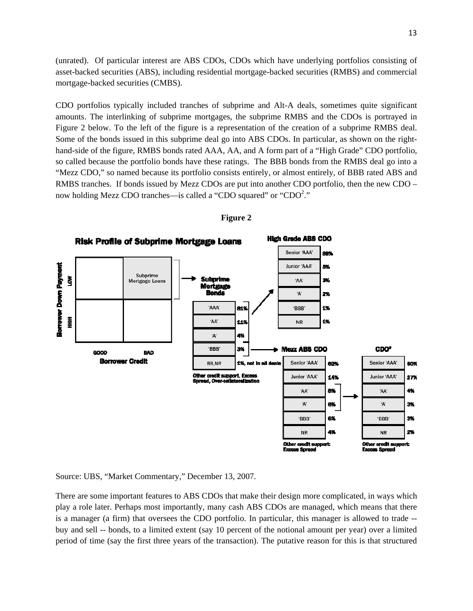(unrated). Of particular interest are ABS CDOs, CDOs which have underlying portfolios consisting of asset-backed securities (ABS), including residential mortgage-backed securities (RMBS) and commercial mortgage-backed securities (CMBS).

CDO portfolios typically included tranches of subprime and Alt-A deals, sometimes quite significant amounts. The interlinking of subprime mortgages, the subprime RMBS and the CDOs is portrayed in Figure 2 below. To the left of the figure is a representation of the creation of a subprime RMBS deal. Some of the bonds issued in this subprime deal go into ABS CDOs. In particular, as shown on the righthand-side of the figure, RMBS bonds rated AAA, AA, and A form part of a "High Grade" CDO portfolio, so called because the portfolio bonds have these ratings. The BBB bonds from the RMBS deal go into a "Mezz CDO," so named because its portfolio consists entirely, or almost entirely, of BBB rated ABS and RMBS tranches. If bonds issued by Mezz CDOs are put into another CDO portfolio, then the new CDO – now holding Mezz CDO tranches—is called a "CDO squared" or "CDO<sup>2</sup>."



#### **Figure 2**

Source: UBS, "Market Commentary," December 13, 2007.

There are some important features to ABS CDOs that make their design more complicated, in ways which play a role later. Perhaps most importantly, many cash ABS CDOs are managed, which means that there is a manager (a firm) that oversees the CDO portfolio. In particular, this manager is allowed to trade - buy and sell -- bonds, to a limited extent (say 10 percent of the notional amount per year) over a limited period of time (say the first three years of the transaction). The putative reason for this is that structured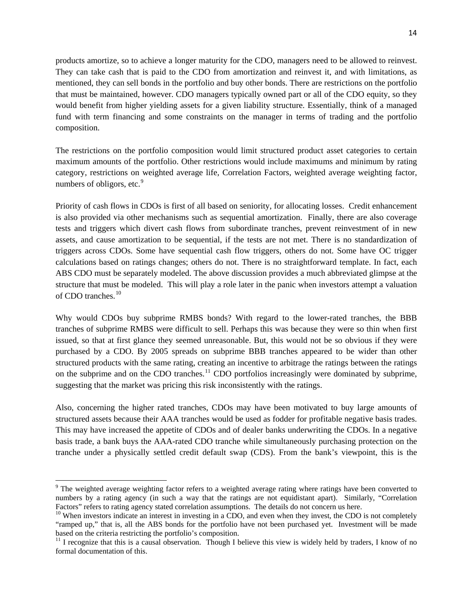products amortize, so to achieve a longer maturity for the CDO, managers need to be allowed to reinvest. They can take cash that is paid to the CDO from amortization and reinvest it, and with limitations, as mentioned, they can sell bonds in the portfolio and buy other bonds. There are restrictions on the portfolio that must be maintained, however. CDO managers typically owned part or all of the CDO equity, so they would benefit from higher yielding assets for a given liability structure. Essentially, think of a managed fund with term financing and some constraints on the manager in terms of trading and the portfolio composition.

The restrictions on the portfolio composition would limit structured product asset categories to certain maximum amounts of the portfolio. Other restrictions would include maximums and minimum by rating category, restrictions on weighted average life, Correlation Factors, weighted average weighting factor, numbers of obligors, etc. $9$ 

Priority of cash flows in CDOs is first of all based on seniority, for allocating losses. Credit enhancement is also provided via other mechanisms such as sequential amortization. Finally, there are also coverage tests and triggers which divert cash flows from subordinate tranches, prevent reinvestment of in new assets, and cause amortization to be sequential, if the tests are not met. There is no standardization of triggers across CDOs. Some have sequential cash flow triggers, others do not. Some have OC trigger calculations based on ratings changes; others do not. There is no straightforward template. In fact, each ABS CDO must be separately modeled. The above discussion provides a much abbreviated glimpse at the structure that must be modeled. This will play a role later in the panic when investors attempt a valuation of CDO tranches.[10](#page-15-1)

Why would CDOs buy subprime RMBS bonds? With regard to the lower-rated tranches, the BBB tranches of subprime RMBS were difficult to sell. Perhaps this was because they were so thin when first issued, so that at first glance they seemed unreasonable. But, this would not be so obvious if they were purchased by a CDO. By 2005 spreads on subprime BBB tranches appeared to be wider than other structured products with the same rating, creating an incentive to arbitrage the ratings between the ratings on the subprime and on the CDO tranches.<sup>[11](#page-15-2)</sup> CDO portfolios increasingly were dominated by subprime, suggesting that the market was pricing this risk inconsistently with the ratings.

Also, concerning the higher rated tranches, CDOs may have been motivated to buy large amounts of structured assets because their AAA tranches would be used as fodder for profitable negative basis trades. This may have increased the appetite of CDOs and of dealer banks underwriting the CDOs. In a negative basis trade, a bank buys the AAA-rated CDO tranche while simultaneously purchasing protection on the tranche under a physically settled credit default swap (CDS). From the bank's viewpoint, this is the

<span id="page-15-0"></span><sup>&</sup>lt;sup>9</sup> The weighted average weighting factor refers to a weighted average rating where ratings have been converted to numbers by a rating agency (in such a way that the ratings are not equidistant apart). Similarly, "Correlation Factors" refers to rating agency stated correlation assumptions. The details do not concern us here.

<span id="page-15-1"></span> $10$  When investors indicate an interest in investing in a CDO, and even when they invest, the CDO is not completely "ramped up," that is, all the ABS bonds for the portfolio have not been purchased yet. Investment will be made based on the criteria restricting the portfolio's composition.

<span id="page-15-2"></span><sup>&</sup>lt;sup>11</sup> I recognize that this is a causal observation. Though I believe this view is widely held by traders, I know of no formal documentation of this.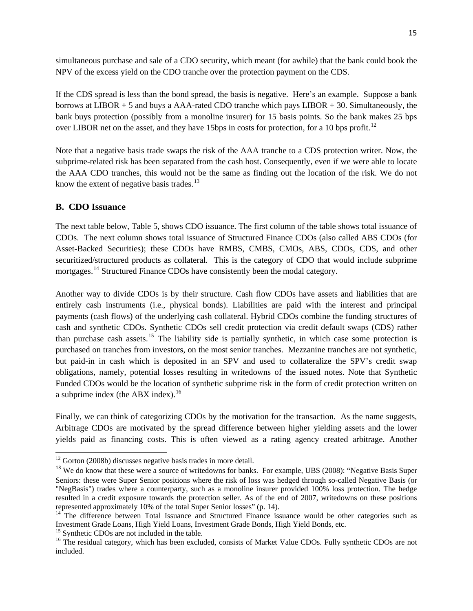simultaneous purchase and sale of a CDO security, which meant (for awhile) that the bank could book the NPV of the excess yield on the CDO tranche over the protection payment on the CDS.

If the CDS spread is less than the bond spread, the basis is negative. Here's an example. Suppose a bank borrows at LIBOR + 5 and buys a AAA-rated CDO tranche which pays LIBOR + 30. Simultaneously, the bank buys protection (possibly from a monoline insurer) for 15 basis points. So the bank makes 25 bps over LIBOR net on the asset, and they have 15bps in costs for protection, for a 10 bps profit.<sup>[12](#page-16-0)</sup>

Note that a negative basis trade swaps the risk of the AAA tranche to a CDS protection writer. Now, the subprime-related risk has been separated from the cash host. Consequently, even if we were able to locate the AAA CDO tranches, this would not be the same as finding out the location of the risk. We do not know the extent of negative basis trades. $13$ 

## **B. CDO Issuance**

The next table below, Table 5, shows CDO issuance. The first column of the table shows total issuance of CDOs. The next column shows total issuance of Structured Finance CDOs (also called ABS CDOs (for Asset-Backed Securities); these CDOs have RMBS, CMBS, CMOs, ABS, CDOs, CDS, and other securitized/structured products as collateral. This is the category of CDO that would include subprime mortgages.<sup>[14](#page-16-2)</sup> Structured Finance CDOs have consistently been the modal category.

Another way to divide CDOs is by their structure. Cash flow CDOs have assets and liabilities that are entirely cash instruments (i.e., physical bonds). Liabilities are paid with the interest and principal payments (cash flows) of the underlying cash collateral. Hybrid CDOs combine the funding structures of cash and synthetic CDOs. Synthetic CDOs sell credit protection via credit default swaps (CDS) rather than purchase cash assets.<sup>[15](#page-16-3)</sup> The liability side is partially synthetic, in which case some protection is purchased on tranches from investors, on the most senior tranches. Mezzanine tranches are not synthetic, but paid-in in cash which is deposited in an SPV and used to collateralize the SPV's credit swap obligations, namely, potential losses resulting in writedowns of the issued notes. Note that Synthetic Funded CDOs would be the location of synthetic subprime risk in the form of credit protection written on a subprime index (the ABX index). $16$ 

Finally, we can think of categorizing CDOs by the motivation for the transaction. As the name suggests, Arbitrage CDOs are motivated by the spread difference between higher yielding assets and the lower yields paid as financing costs. This is often viewed as a rating agency created arbitrage. Another

 $12$  Gorton (2008b) discusses negative basis trades in more detail.

<span id="page-16-1"></span><span id="page-16-0"></span><sup>&</sup>lt;sup>13</sup> We do know that these were a source of writedowns for banks. For example, UBS (2008): "Negative Basis Super Seniors: these were Super Senior positions where the risk of loss was hedged through so-called Negative Basis (or "NegBasis") trades where a counterparty, such as a monoline insurer provided 100% loss protection. The hedge resulted in a credit exposure towards the protection seller. As of the end of 2007, writedowns on these positions represented approximately 10% of the total Super Senior losses" (p. 14).

<span id="page-16-2"></span><sup>&</sup>lt;sup>14</sup> The difference between Total Issuance and Structured Finance issuance would be other categories such as Investment Grade Loans, High Yield Loans, Investment Grade Bonds, High Yield Bonds, etc.

<sup>&</sup>lt;sup>15</sup> Synthetic CDOs are not included in the table.

<span id="page-16-4"></span><span id="page-16-3"></span><sup>&</sup>lt;sup>16</sup> The residual category, which has been excluded, consists of Market Value CDOs. Fully synthetic CDOs are not included.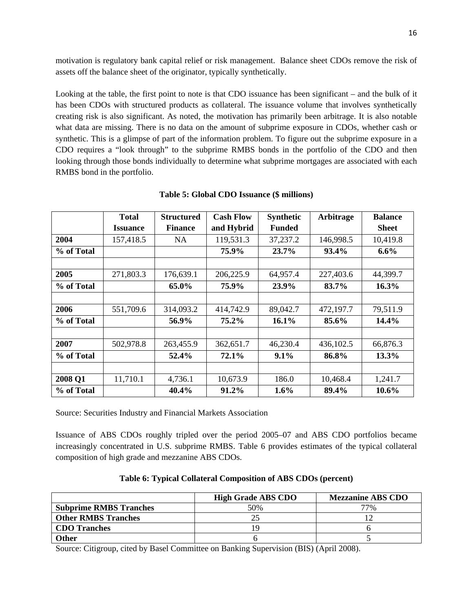motivation is regulatory bank capital relief or risk management. Balance sheet CDOs remove the risk of assets off the balance sheet of the originator, typically synthetically.

Looking at the table, the first point to note is that CDO issuance has been significant – and the bulk of it has been CDOs with structured products as collateral. The issuance volume that involves synthetically creating risk is also significant. As noted, the motivation has primarily been arbitrage. It is also notable what data are missing. There is no data on the amount of subprime exposure in CDOs, whether cash or synthetic. This is a glimpse of part of the information problem. To figure out the subprime exposure in a CDO requires a "look through" to the subprime RMBS bonds in the portfolio of the CDO and then looking through those bonds individually to determine what subprime mortgages are associated with each RMBS bond in the portfolio.

|            | <b>Total</b>    | <b>Structured</b> | <b>Cash Flow</b> | <b>Synthetic</b> | Arbitrage | <b>Balance</b> |
|------------|-----------------|-------------------|------------------|------------------|-----------|----------------|
|            | <b>Issuance</b> | <b>Finance</b>    | and Hybrid       | <b>Funded</b>    |           | <b>Sheet</b>   |
| 2004       | 157,418.5       | <b>NA</b>         | 119,531.3        | 37,237.2         | 146,998.5 | 10,419.8       |
| % of Total |                 |                   | 75.9%            | 23.7%            | 93.4%     | $6.6\%$        |
|            |                 |                   |                  |                  |           |                |
| 2005       | 271,803.3       | 176,639.1         | 206,225.9        | 64,957.4         | 227,403.6 | 44,399.7       |
| % of Total |                 | 65.0%             | 75.9%            | 23.9%            | 83.7%     | 16.3%          |
|            |                 |                   |                  |                  |           |                |
| 2006       | 551,709.6       | 314,093.2         | 414,742.9        | 89,042.7         | 472,197.7 | 79,511.9       |
| % of Total |                 | 56.9%             | 75.2%            | 16.1%            | 85.6%     | 14.4%          |
|            |                 |                   |                  |                  |           |                |
| 2007       | 502,978.8       | 263,455.9         | 362,651.7        | 46,230.4         | 436,102.5 | 66,876.3       |
| % of Total |                 | 52.4%             | 72.1%            | 9.1%             | 86.8%     | 13.3%          |
|            |                 |                   |                  |                  |           |                |
| 2008 Q1    | 11,710.1        | 4,736.1           | 10,673.9         | 186.0            | 10,468.4  | 1,241.7        |
| % of Total |                 | 40.4%             | 91.2%            | 1.6%             | 89.4%     | 10.6%          |

## **Table 5: Global CDO Issuance (\$ millions)**

Source: Securities Industry and Financial Markets Association

Issuance of ABS CDOs roughly tripled over the period 2005–07 and ABS CDO portfolios became increasingly concentrated in U.S. subprime RMBS. Table 6 provides estimates of the typical collateral composition of high grade and mezzanine ABS CDOs.

### **Table 6: Typical Collateral Composition of ABS CDOs (percent)**

|                               | <b>High Grade ABS CDO</b> | <b>Mezzanine ABS CDO</b> |
|-------------------------------|---------------------------|--------------------------|
| <b>Subprime RMBS Tranches</b> | 50%                       | 77%                      |
| <b>Other RMBS Tranches</b>    |                           |                          |
| <b>CDO</b> Tranches           |                           |                          |
| Other                         |                           |                          |

Source: Citigroup, cited by Basel Committee on Banking Supervision (BIS) (April 2008).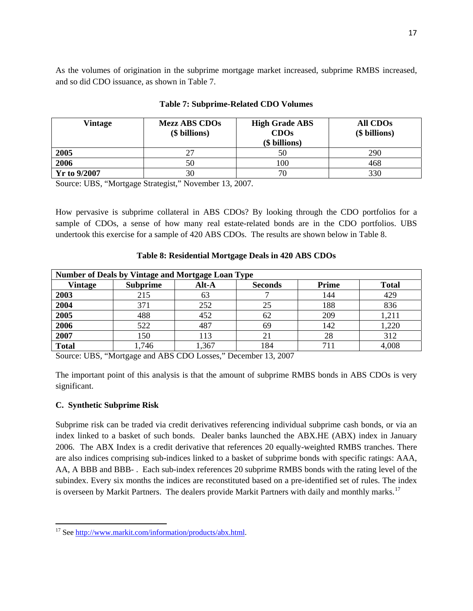As the volumes of origination in the subprime mortgage market increased, subprime RMBS increased, and so did CDO issuance, as shown in Table 7.

| Vintage      | <b>Mezz ABS CDOs</b><br>(\$ billions) | <b>High Grade ABS</b><br>CDOs<br>(\$ billions) | <b>All CDOs</b><br>(\$ billions) |
|--------------|---------------------------------------|------------------------------------------------|----------------------------------|
| 2005         |                                       | 50                                             | 290                              |
| 2006         | 50                                    | 100                                            | 468                              |
| Yr to 9/2007 | 30                                    | 70                                             | 330                              |

## **Table 7: Subprime-Related CDO Volumes**

Source: UBS, "Mortgage Strategist," November 13, 2007.

How pervasive is subprime collateral in ABS CDOs? By looking through the CDO portfolios for a sample of CDOs, a sense of how many real estate-related bonds are in the CDO portfolios. UBS undertook this exercise for a sample of 420 ABS CDOs. The results are shown below in Table 8.

| <b>Number of Deals by Vintage and Mortgage Loan Type</b> |                 |       |                |       |              |  |
|----------------------------------------------------------|-----------------|-------|----------------|-------|--------------|--|
| <b>Vintage</b>                                           | <b>Subprime</b> | Alt-A | <b>Seconds</b> | Prime | <b>Total</b> |  |
| 2003                                                     | 215             | 63    |                | 144   | 429          |  |
| 2004                                                     | 371             | 252   | 25             | 188   | 836          |  |
| 2005                                                     | 488             | 452   | 62             | 209   | 1,211        |  |
| 2006                                                     | 522             | 487   | 69             | 142   | 1,220        |  |
| 2007                                                     | 150             | 113   | 21             | 28    | 312          |  |
| <b>Total</b>                                             | .746            | ,367  | 184            |       | 4,008        |  |

## **Table 8: Residential Mortgage Deals in 420 ABS CDOs**

Source: UBS, "Mortgage and ABS CDO Losses," December 13, 2007

The important point of this analysis is that the amount of subprime RMBS bonds in ABS CDOs is very significant.

## **C. Synthetic Subprime Risk**

Subprime risk can be traded via credit derivatives referencing individual subprime cash bonds, or via an index linked to a basket of such bonds. Dealer banks launched the ABX.HE (ABX) index in January 2006. The ABX Index is a credit derivative that references 20 equally-weighted RMBS tranches. There are also indices comprising sub-indices linked to a basket of subprime bonds with specific ratings: AAA, AA, A BBB and BBB- . Each sub-index references 20 subprime RMBS bonds with the rating level of the subindex. Every six months the indices are reconstituted based on a pre-identified set of rules. The index is overseen by Markit Partners. The dealers provide Markit Partners with daily and monthly marks.<sup>[17](#page-18-0)</sup>

<span id="page-18-0"></span><sup>&</sup>lt;sup>17</sup> See <http://www.markit.com/information/products/abx.html>.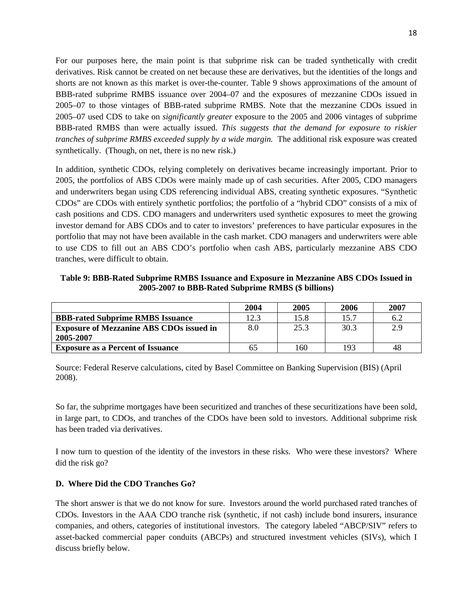For our purposes here, the main point is that subprime risk can be traded synthetically with credit derivatives. Risk cannot be created on net because these are derivatives, but the identities of the longs and shorts are not known as this market is over-the-counter. Table 9 shows approximations of the amount of BBB-rated subprime RMBS issuance over 2004–07 and the exposures of mezzanine CDOs issued in 2005–07 to those vintages of BBB-rated subprime RMBS. Note that the mezzanine CDOs issued in 2005–07 used CDS to take on *significantly greater* exposure to the 2005 and 2006 vintages of subprime BBB-rated RMBS than were actually issued. *This suggests that the demand for exposure to riskier tranches of subprime RMBS exceeded supply by a wide margin.* The additional risk exposure was created synthetically. (Though, on net, there is no new risk.)

In addition, synthetic CDOs, relying completely on derivatives became increasingly important. Prior to 2005, the portfolios of ABS CDOs were mainly made up of cash securities. After 2005, CDO managers and underwriters began using CDS referencing individual ABS, creating synthetic exposures. "Synthetic CDOs" are CDOs with entirely synthetic portfolios; the portfolio of a "hybrid CDO" consists of a mix of cash positions and CDS. CDO managers and underwriters used synthetic exposures to meet the growing investor demand for ABS CDOs and to cater to investors' preferences to have particular exposures in the portfolio that may not have been available in the cash market. CDO managers and underwriters were able to use CDS to fill out an ABS CDO's portfolio when cash ABS, particularly mezzanine ABS CDO tranches, were difficult to obtain.

**Table 9: BBB-Rated Subprime RMBS Issuance and Exposure in Mezzanine ABS CDOs Issued in 2005-2007 to BBB-Rated Subprime RMBS (\$ billions)** 

|                                                 | 2004 | 2005 | 2006 | 2007 |
|-------------------------------------------------|------|------|------|------|
| <b>BBB-rated Subprime RMBS Issuance</b>         | 12.3 | 15.8 | 15.7 | 6.2  |
| <b>Exposure of Mezzanine ABS CDOs issued in</b> | 8.0  | 25.3 | 30.3 | 2.9  |
| 2005-2007                                       |      |      |      |      |
| <b>Exposure as a Percent of Issuance</b>        | 65   | 160  | 193  | 48   |

Source: Federal Reserve calculations, cited by Basel Committee on Banking Supervision (BIS) (April 2008).

So far, the subprime mortgages have been securitized and tranches of these securitizations have been sold, in large part, to CDOs, and tranches of the CDOs have been sold to investors. Additional subprime risk has been traded via derivatives.

I now turn to question of the identity of the investors in these risks. Who were these investors? Where did the risk go?

## **D. Where Did the CDO Tranches Go?**

The short answer is that we do not know for sure. Investors around the world purchased rated tranches of CDOs. Investors in the AAA CDO tranche risk (synthetic, if not cash) include bond insurers, insurance companies, and others, categories of institutional investors. The category labeled "ABCP/SIV" refers to asset-backed commercial paper conduits (ABCPs) and structured investment vehicles (SIVs), which I discuss briefly below.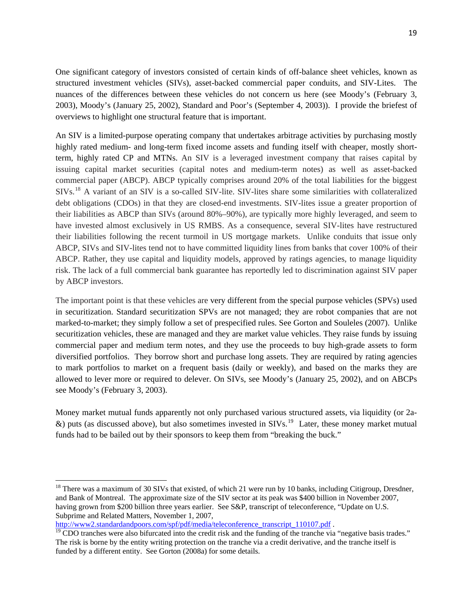One significant category of investors consisted of certain kinds of off-balance sheet vehicles, known as structured investment vehicles (SIVs), asset-backed commercial paper conduits, and SIV-Lites. The nuances of the differences between these vehicles do not concern us here (see Moody's (February 3, 2003), Moody's (January 25, 2002), Standard and Poor's (September 4, 2003)). I provide the briefest of overviews to highlight one structural feature that is important.

An SIV is a limited-purpose operating company that undertakes arbitrage activities by purchasing mostly highly rated medium- and long-term fixed income assets and funding itself with cheaper, mostly shortterm, highly rated CP and MTNs. An SIV is a leveraged investment company that raises capital by issuing capital market securities (capital notes and medium-term notes) as well as asset-backed commercial paper (ABCP). ABCP typically comprises around 20% of the total liabilities for the biggest SIVs.[18](#page-20-0) A variant of an SIV is a so-called SIV-lite. SIV-lites share some similarities with collateralized debt obligations (CDOs) in that they are closed-end investments. SIV-lites issue a greater proportion of their liabilities as ABCP than SIVs (around 80%–90%), are typically more highly leveraged, and seem to have invested almost exclusively in US RMBS. As a consequence, several SIV-lites have restructured their liabilities following the recent turmoil in US mortgage markets. Unlike conduits that issue only ABCP, SIVs and SIV-lites tend not to have committed liquidity lines from banks that cover 100% of their ABCP. Rather, they use capital and liquidity models, approved by ratings agencies, to manage liquidity risk. The lack of a full commercial bank guarantee has reportedly led to discrimination against SIV paper by ABCP investors.

The important point is that these vehicles are very different from the special purpose vehicles (SPVs) used in securitization. Standard securitization SPVs are not managed; they are robot companies that are not marked-to-market; they simply follow a set of prespecified rules. See Gorton and Souleles (2007). Unlike securitization vehicles, these are managed and they are market value vehicles. They raise funds by issuing commercial paper and medium term notes, and they use the proceeds to buy high-grade assets to form diversified portfolios. They borrow short and purchase long assets. They are required by rating agencies to mark portfolios to market on a frequent basis (daily or weekly), and based on the marks they are allowed to lever more or required to delever. On SIVs, see Moody's (January 25, 2002), and on ABCPs see Moody's (February 3, 2003).

Money market mutual funds apparently not only purchased various structured assets, via liquidity (or 2a-  $\&$ ) puts (as discussed above), but also sometimes invested in SIVs.<sup>[19](#page-20-1)</sup> Later, these money market mutual funds had to be bailed out by their sponsors to keep them from "breaking the buck."

<span id="page-20-0"></span><sup>&</sup>lt;sup>18</sup> There was a maximum of 30 SIVs that existed, of which 21 were run by 10 banks, including Citigroup, Dresdner, and Bank of Montreal. The approximate size of the SIV sector at its peak was \$400 billion in November 2007, having grown from \$200 billion three years earlier. See S&P, transcript of teleconference, "Update on U.S. Subprime and Related Matters, November 1, 2007,<br>http://www2.standardandpoors.com/spf/pdf/media/teleconference transcript 110107.pdf.

<span id="page-20-1"></span> $\frac{19}{19}$  $\frac{19}{19}$  $\frac{19}{19}$  CDO tranches were also bifurcated into the credit risk and the funding of the tranche via "negative basis trades." The risk is borne by the entity writing protection on the tranche via a credit derivative, and the tranche itself is funded by a different entity. See Gorton (2008a) for some details.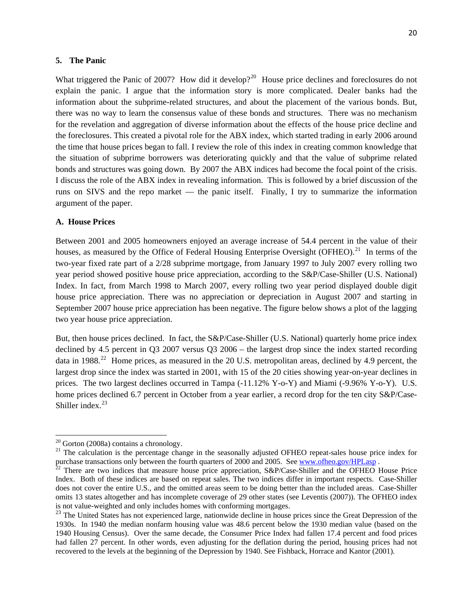#### **5. The Panic**

What triggered the Panic of [20](#page-21-0)07? How did it develop?<sup>20</sup> House price declines and foreclosures do not explain the panic. I argue that the information story is more complicated. Dealer banks had the information about the subprime-related structures, and about the placement of the various bonds. But, there was no way to learn the consensus value of these bonds and structures. There was no mechanism for the revelation and aggregation of diverse information about the effects of the house price decline and the foreclosures. This created a pivotal role for the ABX index, which started trading in early 2006 around the time that house prices began to fall. I review the role of this index in creating common knowledge that the situation of subprime borrowers was deteriorating quickly and that the value of subprime related bonds and structures was going down. By 2007 the ABX indices had become the focal point of the crisis. I discuss the role of the ABX index in revealing information. This is followed by a brief discussion of the runs on SIVS and the repo market — the panic itself. Finally, I try to summarize the information argument of the paper.

#### **A. House Prices**

Between 2001 and 2005 homeowners enjoyed an average increase of 54.4 percent in the value of their houses, as measured by the Office of Federal Housing Enterprise Oversight (OFHEO).<sup>[21](#page-21-1)</sup> In terms of the two-year fixed rate part of a 2/28 subprime mortgage, from January 1997 to July 2007 every rolling two year period showed positive house price appreciation, according to the S&P/Case-Shiller (U.S. National) Index. In fact, from March 1998 to March 2007, every rolling two year period displayed double digit house price appreciation. There was no appreciation or depreciation in August 2007 and starting in September 2007 house price appreciation has been negative. The figure below shows a plot of the lagging two year house price appreciation.

But, then house prices declined. In fact, the S&P/Case-Shiller (U.S. National) quarterly home price index declined by 4.5 percent in Q3 2007 versus Q3 2006 – the largest drop since the index started recording data in 1988.<sup>[22](#page-21-2)</sup> Home prices, as measured in the 20 U.S. metropolitan areas, declined by 4.9 percent, the largest drop since the index was started in 2001, with 15 of the 20 cities showing year-on-year declines in prices. The two largest declines occurred in Tampa (-11.12% Y-o-Y) and Miami (-9.96% Y-o-Y). U.S. home prices declined 6.7 percent in October from a year earlier, a record drop for the ten city S&P/Case-Shiller index. $23$ 

 $20$  Gorton (2008a) contains a chronology.

<span id="page-21-1"></span><span id="page-21-0"></span><sup>&</sup>lt;sup>21</sup> The calculation is the percentage change in the seasonally adjusted OFHEO repeat-sales house price index for purchase transactions only between the fourth quarters of 2000 and 2005. See [www.ofheo.gov/HPLasp](http://www.ofheo.gov/HPLasp) .<br><sup>22</sup> There are two indices that measure house price appreciation, S&P/Case-[Shiller and the OFHEO](http://www.ofheo.gov/HPLasp) House Price

<span id="page-21-2"></span>Index. Both of these indices are based on repeat sales. The two indices differ in important respects. Case-Shiller does not cover the entire U.S., and the omitted areas seem to be doing better than the included areas. Case-Shiller omits 13 states altogether and has incomplete coverage of 29 other states (see Leventis (2007)). The OFHEO index is not value-weighted and only includes homes with conforming mortgages.

<span id="page-21-3"></span><sup>&</sup>lt;sup>23</sup> The United States has not experienced large, nationwide decline in house prices since the Great Depression of the 1930s. In 1940 the median nonfarm housing value was 48.6 percent below the 1930 median value (based on the 1940 Housing Census). Over the same decade, the Consumer Price Index had fallen 17.4 percent and food prices had fallen 27 percent. In other words, even adjusting for the deflation during the period, housing prices had not recovered to the levels at the beginning of the Depression by 1940. See Fishback, Horrace and Kantor (2001).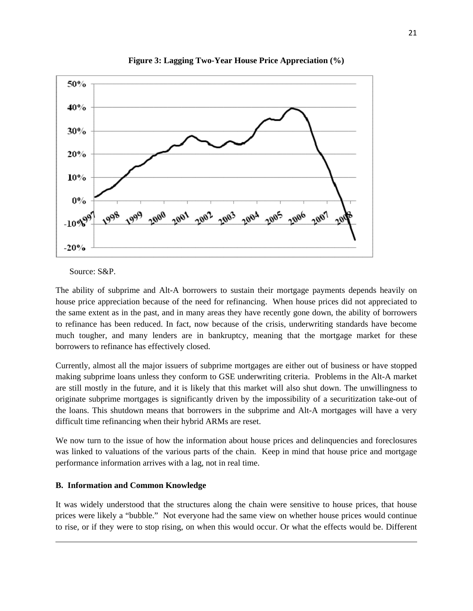

**Figure 3: Lagging Two-Year House Price Appreciation (%)** 



The ability of subprime and Alt-A borrowers to sustain their mortgage payments depends heavily on house price appreciation because of the need for refinancing. When house prices did not appreciated to the same extent as in the past, and in many areas they have recently gone down, the ability of borrowers to refinance has been reduced. In fact, now because of the crisis, underwriting standards have become much tougher, and many lenders are in bankruptcy, meaning that the mortgage market for these borrowers to refinance has effectively closed.

Currently, almost all the major issuers of subprime mortgages are either out of business or have stopped making subprime loans unless they conform to GSE underwriting criteria. Problems in the Alt-A market are still mostly in the future, and it is likely that this market will also shut down. The unwillingness to originate subprime mortgages is significantly driven by the impossibility of a securitization take-out of the loans. This shutdown means that borrowers in the subprime and Alt-A mortgages will have a very difficult time refinancing when their hybrid ARMs are reset.

We now turn to the issue of how the information about house prices and delinquencies and foreclosures was linked to valuations of the various parts of the chain. Keep in mind that house price and mortgage performance information arrives with a lag, not in real time.

## **B. Information and Common Knowledge**

It was widely understood that the structures along the chain were sensitive to house prices, that house prices were likely a "bubble." Not everyone had the same view on whether house prices would continue to rise, or if they were to stop rising, on when this would occur. Or what the effects would be. Different

<u> Andrewski politika (za obrazu pod predsjednika u predsjednika u predsjednika u predsjednika (za obrazu pod p</u>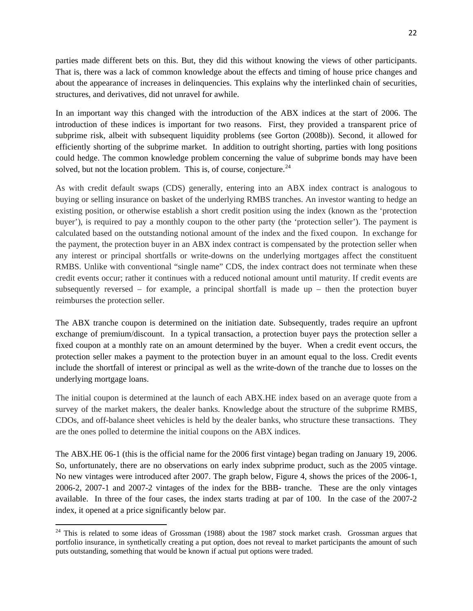parties made different bets on this. But, they did this without knowing the views of other participants. That is, there was a lack of common knowledge about the effects and timing of house price changes and about the appearance of increases in delinquencies. This explains why the interlinked chain of securities, structures, and derivatives, did not unravel for awhile.

In an important way this changed with the introduction of the ABX indices at the start of 2006. The introduction of these indices is important for two reasons. First, they provided a transparent price of subprime risk, albeit with subsequent liquidity problems (see Gorton (2008b)). Second, it allowed for efficiently shorting of the subprime market. In addition to outright shorting, parties with long positions could hedge. The common knowledge problem concerning the value of subprime bonds may have been solved, but not the location problem. This is, of course, conjecture.  $24$ 

As with credit default swaps (CDS) generally, entering into an ABX index contract is analogous to buying or selling insurance on basket of the underlying RMBS tranches. An investor wanting to hedge an existing position, or otherwise establish a short credit position using the index (known as the 'protection buyer'), is required to pay a monthly coupon to the other party (the 'protection seller'). The payment is calculated based on the outstanding notional amount of the index and the fixed coupon. In exchange for the payment, the protection buyer in an ABX index contract is compensated by the protection seller when any interest or principal shortfalls or write-downs on the underlying mortgages affect the constituent RMBS. Unlike with conventional "single name" CDS, the index contract does not terminate when these credit events occur; rather it continues with a reduced notional amount until maturity. If credit events are subsequently reversed – for example, a principal shortfall is made  $up$  – then the protection buyer reimburses the protection seller.

The ABX tranche coupon is determined on the initiation date. Subsequently, trades require an upfront exchange of premium/discount. In a typical transaction, a protection buyer pays the protection seller a fixed coupon at a monthly rate on an amount determined by the buyer. When a credit event occurs, the protection seller makes a payment to the protection buyer in an amount equal to the loss. Credit events include the shortfall of interest or principal as well as the write-down of the tranche due to losses on the underlying mortgage loans.

The initial coupon is determined at the launch of each ABX.HE index based on an average quote from a survey of the market makers, the dealer banks. Knowledge about the structure of the subprime RMBS, CDOs, and off-balance sheet vehicles is held by the dealer banks, who structure these transactions. They are the ones polled to determine the initial coupons on the ABX indices.

The ABX.HE 06-1 (this is the official name for the 2006 first vintage) began trading on January 19, 2006. So, unfortunately, there are no observations on early index subprime product, such as the 2005 vintage. No new vintages were introduced after 2007. The graph below, Figure 4, shows the prices of the 2006-1, 2006-2, 2007-1 and 2007-2 vintages of the index for the BBB- tranche. These are the only vintages available. In three of the four cases, the index starts trading at par of 100. In the case of the 2007-2 index, it opened at a price significantly below par.

<span id="page-23-0"></span> $24$  This is related to some ideas of Grossman (1988) about the 1987 stock market crash. Grossman argues that portfolio insurance, in synthetically creating a put option, does not reveal to market participants the amount of such puts outstanding, something that would be known if actual put options were traded.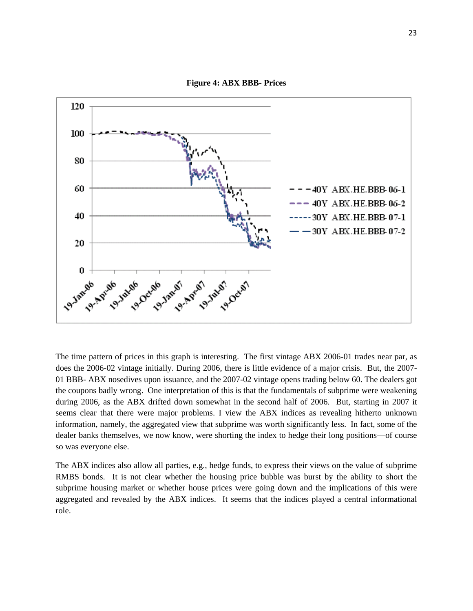

The time pattern of prices in this graph is interesting. The first vintage ABX 2006-01 trades near par, as does the 2006-02 vintage initially. During 2006, there is little evidence of a major crisis. But, the 2007- 01 BBB- ABX nosedives upon issuance, and the 2007-02 vintage opens trading below 60. The dealers got the coupons badly wrong. One interpretation of this is that the fundamentals of subprime were weakening during 2006, as the ABX drifted down somewhat in the second half of 2006. But, starting in 2007 it seems clear that there were major problems. I view the ABX indices as revealing hitherto unknown information, namely, the aggregated view that subprime was worth significantly less. In fact, some of the dealer banks themselves, we now know, were shorting the index to hedge their long positions—of course so was everyone else.

The ABX indices also allow all parties, e.g., hedge funds, to express their views on the value of subprime RMBS bonds. It is not clear whether the housing price bubble was burst by the ability to short the subprime housing market or whether house prices were going down and the implications of this were aggregated and revealed by the ABX indices. It seems that the indices played a central informational role.

**Figure 4: ABX BBB- Prices**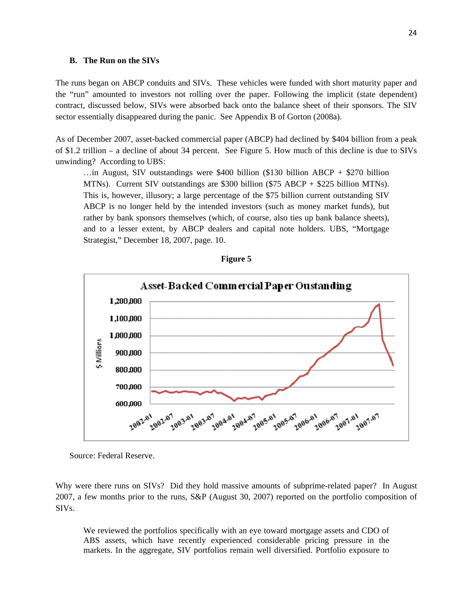#### **B. The Run on the SIVs**

The runs began on ABCP conduits and SIVs. These vehicles were funded with short maturity paper and the "run" amounted to investors not rolling over the paper. Following the implicit (state dependent) contract, discussed below, SIVs were absorbed back onto the balance sheet of their sponsors. The SIV sector essentially disappeared during the panic. See Appendix B of Gorton (2008a).

As of December 2007, asset-backed commercial paper (ABCP) had declined by \$404 billion from a peak of \$1.2 trillion – a decline of about 34 percent. See Figure 5. How much of this decline is due to SIVs unwinding? According to UBS:

 $\ldots$ in August, SIV outstandings were \$400 billion (\$130 billion ABCP + \$270 billion MTNs). Current SIV outstandings are \$300 billion (\$75 ABCP + \$225 billion MTNs). This is, however, illusory; a large percentage of the \$75 billion current outstanding SIV ABCP is no longer held by the intended investors (such as money market funds), but rather by bank sponsors themselves (which, of course, also ties up bank balance sheets), and to a lesser extent, by ABCP dealers and capital note holders. UBS, "Mortgage Strategist," December 18, 2007, page. 10.





Source: Federal Reserve.

Why were there runs on SIVs? Did they hold massive amounts of subprime-related paper? In August 2007, a few months prior to the runs, S&P (August 30, 2007) reported on the portfolio composition of SIVs.

We reviewed the portfolios specifically with an eye toward mortgage assets and CDO of ABS assets, which have recently experienced considerable pricing pressure in the markets. In the aggregate, SIV portfolios remain well diversified. Portfolio exposure to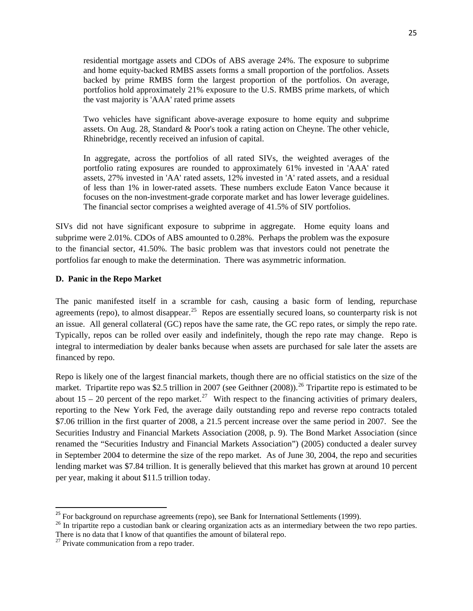residential mortgage assets and CDOs of ABS average 24%. The exposure to subprime and home equity-backed RMBS assets forms a small proportion of the portfolios. Assets backed by prime RMBS form the largest proportion of the portfolios. On average, portfolios hold approximately 21% exposure to the U.S. RMBS prime markets, of which the vast majority is 'AAA' rated prime assets

Two vehicles have significant above-average exposure to home equity and subprime assets. On Aug. 28, Standard & Poor's took a rating action on Cheyne. The other vehicle, Rhinebridge, recently received an infusion of capital.

In aggregate, across the portfolios of all rated SIVs, the weighted averages of the portfolio rating exposures are rounded to approximately 61% invested in 'AAA' rated assets, 27% invested in 'AA' rated assets, 12% invested in 'A' rated assets, and a residual of less than 1% in lower-rated assets. These numbers exclude Eaton Vance because it focuses on the non-investment-grade corporate market and has lower leverage guidelines. The financial sector comprises a weighted average of 41.5% of SIV portfolios.

SIVs did not have significant exposure to subprime in aggregate. Home equity loans and subprime were 2.01%. CDOs of ABS amounted to 0.28%. Perhaps the problem was the exposure to the financial sector, 41.50%. The basic problem was that investors could not penetrate the portfolios far enough to make the determination. There was asymmetric information.

### **D. Panic in the Repo Market**

The panic manifested itself in a scramble for cash, causing a basic form of lending, repurchase agreements (repo), to almost disappear.<sup>[25](#page-26-0)</sup> Repos are essentially secured loans, so counterparty risk is not an issue. All general collateral (GC) repos have the same rate, the GC repo rates, or simply the repo rate. Typically, repos can be rolled over easily and indefinitely, though the repo rate may change. Repo is integral to intermediation by dealer banks because when assets are purchased for sale later the assets are financed by repo.

Repo is likely one of the largest financial markets, though there are no official statistics on the size of the market. Tripartite repo was \$2.5 trillion in 2007 (see Geithner  $(2008)$ ).<sup>[26](#page-26-1)</sup> Tripartite repo is estimated to be about 15 – 20 percent of the repo market.<sup>[27](#page-26-2)</sup> With respect to the financing activities of primary dealers, reporting to the New York Fed, the average daily outstanding repo and reverse repo contracts totaled \$7.06 trillion in the first quarter of 2008, a 21.5 percent increase over the same period in 2007. See the Securities Industry and Financial Markets Association (2008, p. 9). The Bond Market Association (since renamed the "Securities Industry and Financial Markets Association") (2005) conducted a dealer survey in September 2004 to determine the size of the repo market. As of June 30, 2004, the repo and securities lending market was \$7.84 trillion. It is generally believed that this market has grown at around 10 percent per year, making it about \$11.5 trillion today.

<span id="page-26-0"></span><sup>&</sup>lt;sup>25</sup> For background on repurchase agreements (repo), see Bank for International Settlements (1999).

<span id="page-26-1"></span><sup>&</sup>lt;sup>26</sup> In tripartite repo a custodian bank or clearing organization acts as an intermediary between the two repo parties. There is no data that I know of that quantifies the amount of bilateral repo. <sup>27</sup> Private communication from a repo trader.

<span id="page-26-2"></span>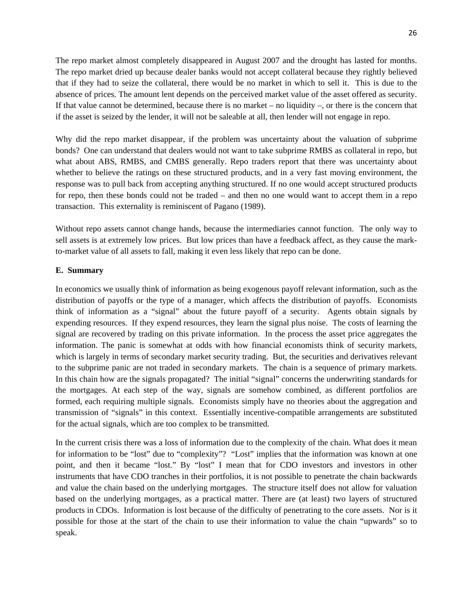The repo market almost completely disappeared in August 2007 and the drought has lasted for months. The repo market dried up because dealer banks would not accept collateral because they rightly believed that if they had to seize the collateral, there would be no market in which to sell it. This is due to the absence of prices. The amount lent depends on the perceived market value of the asset offered as security. If that value cannot be determined, because there is no market – no liquidity –, or there is the concern that if the asset is seized by the lender, it will not be saleable at all, then lender will not engage in repo.

Why did the repo market disappear, if the problem was uncertainty about the valuation of subprime bonds? One can understand that dealers would not want to take subprime RMBS as collateral in repo, but what about ABS, RMBS, and CMBS generally. Repo traders report that there was uncertainty about whether to believe the ratings on these structured products, and in a very fast moving environment, the response was to pull back from accepting anything structured. If no one would accept structured products for repo, then these bonds could not be traded – and then no one would want to accept them in a repo transaction. This externality is reminiscent of Pagano (1989).

Without repo assets cannot change hands, because the intermediaries cannot function. The only way to sell assets is at extremely low prices. But low prices than have a feedback affect, as they cause the markto-market value of all assets to fall, making it even less likely that repo can be done.

### **E. Summary**

In economics we usually think of information as being exogenous payoff relevant information, such as the distribution of payoffs or the type of a manager, which affects the distribution of payoffs. Economists think of information as a "signal" about the future payoff of a security. Agents obtain signals by expending resources. If they expend resources, they learn the signal plus noise. The costs of learning the signal are recovered by trading on this private information. In the process the asset price aggregates the information. The panic is somewhat at odds with how financial economists think of security markets, which is largely in terms of secondary market security trading. But, the securities and derivatives relevant to the subprime panic are not traded in secondary markets. The chain is a sequence of primary markets. In this chain how are the signals propagated? The initial "signal" concerns the underwriting standards for the mortgages. At each step of the way, signals are somehow combined, as different portfolios are formed, each requiring multiple signals. Economists simply have no theories about the aggregation and transmission of "signals" in this context. Essentially incentive-compatible arrangements are substituted for the actual signals, which are too complex to be transmitted.

In the current crisis there was a loss of information due to the complexity of the chain. What does it mean for information to be "lost" due to "complexity"? "Lost" implies that the information was known at one point, and then it became "lost." By "lost" I mean that for CDO investors and investors in other instruments that have CDO tranches in their portfolios, it is not possible to penetrate the chain backwards and value the chain based on the underlying mortgages. The structure itself does not allow for valuation based on the underlying mortgages, as a practical matter. There are (at least) two layers of structured products in CDOs. Information is lost because of the difficulty of penetrating to the core assets. Nor is it possible for those at the start of the chain to use their information to value the chain "upwards" so to speak.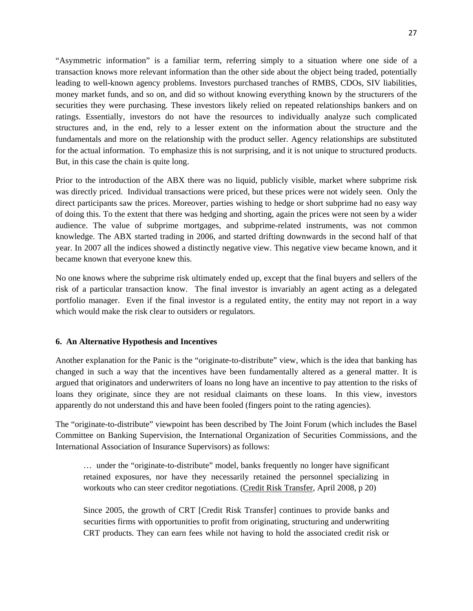"Asymmetric information" is a familiar term, referring simply to a situation where one side of a transaction knows more relevant information than the other side about the object being traded, potentially leading to well-known agency problems. Investors purchased tranches of RMBS, CDOs, SIV liabilities, money market funds, and so on, and did so without knowing everything known by the structurers of the securities they were purchasing. These investors likely relied on repeated relationships bankers and on ratings. Essentially, investors do not have the resources to individually analyze such complicated structures and, in the end, rely to a lesser extent on the information about the structure and the fundamentals and more on the relationship with the product seller. Agency relationships are substituted for the actual information. To emphasize this is not surprising, and it is not unique to structured products. But, in this case the chain is quite long.

Prior to the introduction of the ABX there was no liquid, publicly visible, market where subprime risk was directly priced. Individual transactions were priced, but these prices were not widely seen. Only the direct participants saw the prices. Moreover, parties wishing to hedge or short subprime had no easy way of doing this. To the extent that there was hedging and shorting, again the prices were not seen by a wider audience. The value of subprime mortgages, and subprime-related instruments, was not common knowledge. The ABX started trading in 2006, and started drifting downwards in the second half of that year. In 2007 all the indices showed a distinctly negative view. This negative view became known, and it became known that everyone knew this.

No one knows where the subprime risk ultimately ended up, except that the final buyers and sellers of the risk of a particular transaction know. The final investor is invariably an agent acting as a delegated portfolio manager. Even if the final investor is a regulated entity, the entity may not report in a way which would make the risk clear to outsiders or regulators.

## **6. An Alternative Hypothesis and Incentives**

Another explanation for the Panic is the "originate-to-distribute" view, which is the idea that banking has changed in such a way that the incentives have been fundamentally altered as a general matter. It is argued that originators and underwriters of loans no long have an incentive to pay attention to the risks of loans they originate, since they are not residual claimants on these loans. In this view, investors apparently do not understand this and have been fooled (fingers point to the rating agencies).

The "originate-to-distribute" viewpoint has been described by The Joint Forum (which includes the Basel Committee on Banking Supervision, the International Organization of Securities Commissions, and the International Association of Insurance Supervisors) as follows:

… under the "originate-to-distribute" model, banks frequently no longer have significant retained exposures, nor have they necessarily retained the personnel specializing in workouts who can steer creditor negotiations. (Credit Risk Transfer, April 2008, p 20)

Since 2005, the growth of CRT [Credit Risk Transfer] continues to provide banks and securities firms with opportunities to profit from originating, structuring and underwriting CRT products. They can earn fees while not having to hold the associated credit risk or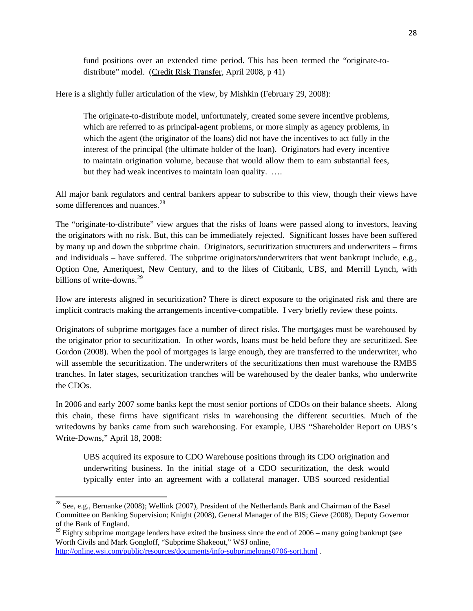fund positions over an extended time period. This has been termed the "originate-todistribute" model. (Credit Risk Transfer, April 2008, p 41)

Here is a slightly fuller articulation of the view, by Mishkin (February 29, 2008):

The originate-to-distribute model, unfortunately, created some severe incentive problems, which are referred to as principal-agent problems, or more simply as agency problems, in which the agent (the originator of the loans) did not have the incentives to act fully in the interest of the principal (the ultimate holder of the loan). Originators had every incentive to maintain origination volume, because that would allow them to earn substantial fees, but they had weak incentives to maintain loan quality. ….

All major bank regulators and central bankers appear to subscribe to this view, though their views have some differences and nuances.<sup>[28](#page-29-0)</sup>

The "originate-to-distribute" view argues that the risks of loans were passed along to investors, leaving the originators with no risk. But, this can be immediately rejected. Significant losses have been suffered by many up and down the subprime chain. Originators, securitization structurers and underwriters – firms and individuals – have suffered. The subprime originators/underwriters that went bankrupt include, e.g., Option One, Ameriquest, New Century, and to the likes of Citibank, UBS, and Merrill Lynch, with billions of write-downs.<sup>[29](#page-29-1)</sup>

How are interests aligned in securitization? There is direct exposure to the originated risk and there are implicit contracts making the arrangements incentive-compatible. I very briefly review these points.

Originators of subprime mortgages face a number of direct risks. The mortgages must be warehoused by the originator prior to securitization. In other words, loans must be held before they are securitized. See Gordon (2008). When the pool of mortgages is large enough, they are transferred to the underwriter, who will assemble the securitization. The underwriters of the securitizations then must warehouse the RMBS tranches. In later stages, securitization tranches will be warehoused by the dealer banks, who underwrite the CDOs.

In 2006 and early 2007 some banks kept the most senior portions of CDOs on their balance sheets. Along this chain, these firms have significant risks in warehousing the different securities. Much of the writedowns by banks came from such warehousing. For example, UBS "Shareholder Report on UBS's Write-Downs," April 18, 2008:

UBS acquired its exposure to CDO Warehouse positions through its CDO origination and underwriting business. In the initial stage of a CDO securitization, the desk would typically enter into an agreement with a collateral manager. UBS sourced residential

<http://online.wsj.com/public/resources/documents/info-subprimeloans0706-sort.html> .

<span id="page-29-0"></span><sup>&</sup>lt;sup>28</sup> See, e.g., Bernanke (2008); Wellink (2007), President of the Netherlands Bank and Chairman of the Basel Committee on Banking Supervision; Knight (2008), General Manager of the BIS; Gieve (2008), Deputy Governor of the Bank of England.

<span id="page-29-1"></span> $29$  Eighty subprime mortgage lenders have exited the business since the end of  $2006$  – many going bankrupt (see Worth Civils and Mark Gongloff, "Subprime Shakeout," WSJ online,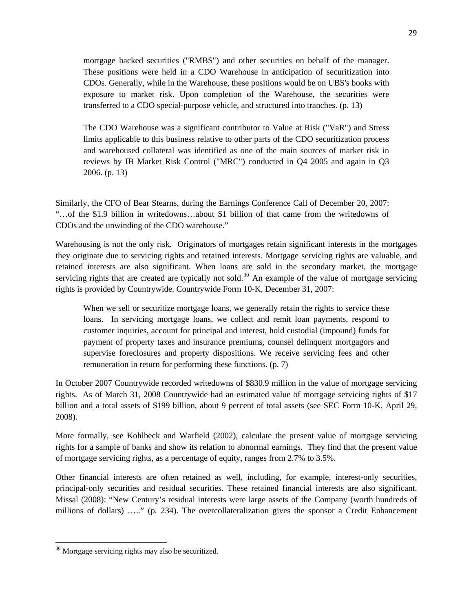mortgage backed securities ("RMBS") and other securities on behalf of the manager. These positions were held in a CDO Warehouse in anticipation of securitization into CDOs. Generally, while in the Warehouse, these positions would be on UBS's books with exposure to market risk. Upon completion of the Warehouse, the securities were transferred to a CDO special-purpose vehicle, and structured into tranches. (p. 13)

The CDO Warehouse was a significant contributor to Value at Risk ("VaR") and Stress limits applicable to this business relative to other parts of the CDO securitization process and warehoused collateral was identified as one of the main sources of market risk in reviews by IB Market Risk Control ("MRC") conducted in Q4 2005 and again in Q3 2006. (p. 13)

Similarly, the CFO of Bear Stearns, during the Earnings Conference Call of December 20, 2007: "…of the \$1.9 billion in writedowns…about \$1 billion of that came from the writedowns of CDOs and the unwinding of the CDO warehouse."

Warehousing is not the only risk. Originators of mortgages retain significant interests in the mortgages they originate due to servicing rights and retained interests. Mortgage servicing rights are valuable, and retained interests are also significant. When loans are sold in the secondary market, the mortgage servicing rights that are created are typically not sold.<sup>[30](#page-30-0)</sup> An example of the value of mortgage servicing rights is provided by Countrywide. Countrywide Form 10-K, December 31, 2007:

When we sell or securitize mortgage loans, we generally retain the rights to service these loans. In servicing mortgage loans, we collect and remit loan payments, respond to customer inquiries, account for principal and interest, hold custodial (impound) funds for payment of property taxes and insurance premiums, counsel delinquent mortgagors and supervise foreclosures and property dispositions. We receive servicing fees and other remuneration in return for performing these functions. (p. 7)

In October 2007 Countrywide recorded writedowns of \$830.9 million in the value of mortgage servicing rights. As of March 31, 2008 Countrywide had an estimated value of mortgage servicing rights of \$17 billion and a total assets of \$199 billion, about 9 percent of total assets (see SEC Form 10-K, April 29, 2008).

More formally, see Kohlbeck and Warfield (2002), calculate the present value of mortgage servicing rights for a sample of banks and show its relation to abnormal earnings. They find that the present value of mortgage servicing rights, as a percentage of equity, ranges from 2.7% to 3.5%.

Other financial interests are often retained as well, including, for example, interest-only securities, principal-only securities and residual securities. These retained financial interests are also significant. Missal (2008): "New Century's residual interests were large assets of the Company (worth hundreds of millions of dollars) ….." (p. 234). The overcollateralization gives the sponsor a Credit Enhancement

<span id="page-30-0"></span><sup>&</sup>lt;sup>30</sup> Mortgage servicing rights may also be securitized.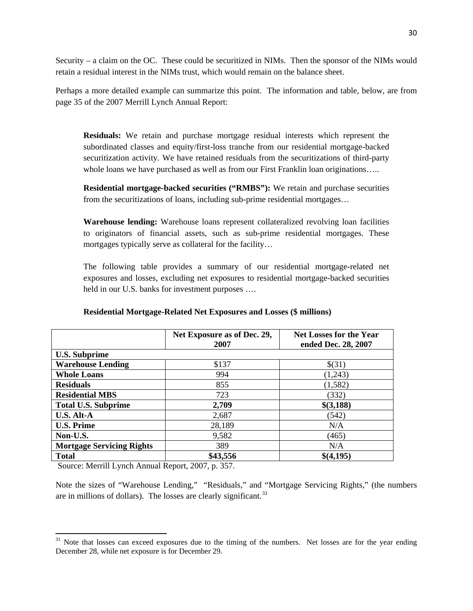Security – a claim on the OC. These could be securitized in NIMs. Then the sponsor of the NIMs would retain a residual interest in the NIMs trust, which would remain on the balance sheet.

Perhaps a more detailed example can summarize this point. The information and table, below, are from page 35 of the 2007 Merrill Lynch Annual Report:

**Residuals:** We retain and purchase mortgage residual interests which represent the subordinated classes and equity/first-loss tranche from our residential mortgage-backed securitization activity. We have retained residuals from the securitizations of third-party whole loans we have purchased as well as from our First Franklin loan originations.....

**Residential mortgage-backed securities ("RMBS"):** We retain and purchase securities from the securitizations of loans, including sub-prime residential mortgages…

**Warehouse lending:** Warehouse loans represent collateralized revolving loan facilities to originators of financial assets, such as sub-prime residential mortgages. These mortgages typically serve as collateral for the facility…

The following table provides a summary of our residential mortgage-related net exposures and losses, excluding net exposures to residential mortgage-backed securities held in our U.S. banks for investment purposes ....

|                                  | Net Exposure as of Dec. 29,<br>2007 | <b>Net Losses for the Year</b><br>ended Dec. 28, 2007 |
|----------------------------------|-------------------------------------|-------------------------------------------------------|
| <b>U.S. Subprime</b>             |                                     |                                                       |
| <b>Warehouse Lending</b>         | \$137                               | \$(31)                                                |
| <b>Whole Loans</b>               | 994                                 | (1,243)                                               |
| <b>Residuals</b>                 | 855                                 | (1, 582)                                              |
| <b>Residential MBS</b>           | 723                                 | (332)                                                 |
| <b>Total U.S. Subprime</b>       | 2,709                               | \$(3,188)                                             |
| <b>U.S. Alt-A</b>                | 2,687                               | (542)                                                 |
| <b>U.S. Prime</b>                | 28,189                              | N/A                                                   |
| Non-U.S.                         | 9,582                               | (465)                                                 |
| <b>Mortgage Servicing Rights</b> | 389                                 | N/A                                                   |
| <b>Total</b>                     | \$43,556                            | \$(4,195)                                             |

### **Residential Mortgage-Related Net Exposures and Losses (\$ millions)**

Source: Merrill Lynch Annual Report, 2007, p. 357.

Note the sizes of "Warehouse Lending," "Residuals," and "Mortgage Servicing Rights," (the numbers are in millions of dollars). The losses are clearly significant.<sup>[31](#page-31-0)</sup>

<span id="page-31-0"></span><sup>&</sup>lt;sup>31</sup> Note that losses can exceed exposures due to the timing of the numbers. Net losses are for the year ending December 28, while net exposure is for December 29.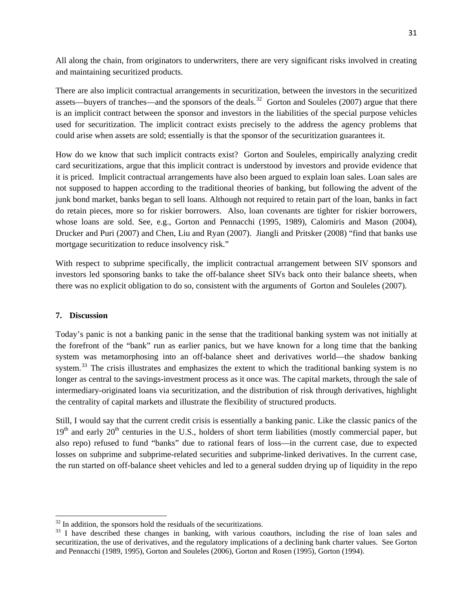All along the chain, from originators to underwriters, there are very significant risks involved in creating and maintaining securitized products.

There are also implicit contractual arrangements in securitization, between the investors in the securitized assets—buyers of tranches—and the sponsors of the deals.<sup>[32](#page-32-0)</sup> Gorton and Souleles (2007) argue that there is an implicit contract between the sponsor and investors in the liabilities of the special purpose vehicles used for securitization. The implicit contract exists precisely to the address the agency problems that could arise when assets are sold; essentially is that the sponsor of the securitization guarantees it.

How do we know that such implicit contracts exist? Gorton and Souleles, empirically analyzing credit card securitizations, argue that this implicit contract is understood by investors and provide evidence that it is priced. Implicit contractual arrangements have also been argued to explain loan sales. Loan sales are not supposed to happen according to the traditional theories of banking, but following the advent of the junk bond market, banks began to sell loans. Although not required to retain part of the loan, banks in fact do retain pieces, more so for riskier borrowers. Also, loan covenants are tighter for riskier borrowers, whose loans are sold. See, e.g., Gorton and Pennacchi (1995, 1989), Calomiris and Mason (2004), Drucker and Puri (2007) and Chen, Liu and Ryan (2007). Jiangli and Pritsker (2008) "find that banks use mortgage securitization to reduce insolvency risk."

With respect to subprime specifically, the implicit contractual arrangement between SIV sponsors and investors led sponsoring banks to take the off-balance sheet SIVs back onto their balance sheets, when there was no explicit obligation to do so, consistent with the arguments of Gorton and Souleles (2007).

### **7. Discussion**

Today's panic is not a banking panic in the sense that the traditional banking system was not initially at the forefront of the "bank" run as earlier panics, but we have known for a long time that the banking system was metamorphosing into an off-balance sheet and derivatives world—the shadow banking system.<sup>[33](#page-32-1)</sup> The crisis illustrates and emphasizes the extent to which the traditional banking system is no longer as central to the savings-investment process as it once was. The capital markets, through the sale of intermediary-originated loans via securitization, and the distribution of risk through derivatives, highlight the centrality of capital markets and illustrate the flexibility of structured products.

Still, I would say that the current credit crisis is essentially a banking panic. Like the classic panics of the  $19<sup>th</sup>$  and early  $20<sup>th</sup>$  centuries in the U.S., holders of short term liabilities (mostly commercial paper, but also repo) refused to fund "banks" due to rational fears of loss—in the current case, due to expected losses on subprime and subprime-related securities and subprime-linked derivatives. In the current case, the run started on off-balance sheet vehicles and led to a general sudden drying up of liquidity in the repo

 $32$  In addition, the sponsors hold the residuals of the securitizations.

<span id="page-32-1"></span><span id="page-32-0"></span><sup>&</sup>lt;sup>33</sup> I have described these changes in banking, with various coauthors, including the rise of loan sales and securitization, the use of derivatives, and the regulatory implications of a declining bank charter values. See Gorton and Pennacchi (1989, 1995), Gorton and Souleles (2006), Gorton and Rosen (1995), Gorton (1994).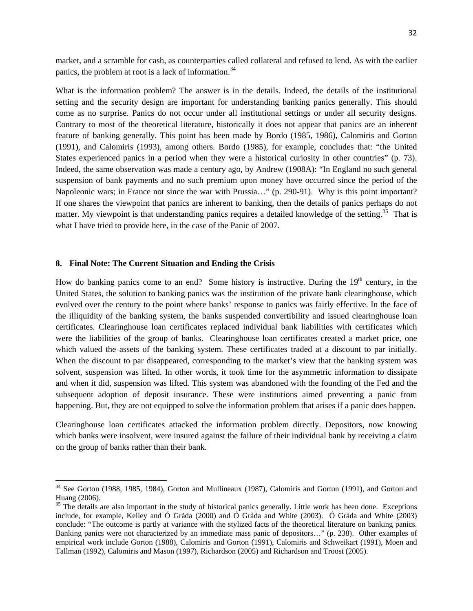market, and a scramble for cash, as counterparties called collateral and refused to lend. As with the earlier panics, the problem at root is a lack of information.<sup>[34](#page-33-0)</sup>

What is the information problem? The answer is in the details. Indeed, the details of the institutional setting and the security design are important for understanding banking panics generally. This should come as no surprise. Panics do not occur under all institutional settings or under all security designs. Contrary to most of the theoretical literature, historically it does not appear that panics are an inherent feature of banking generally. This point has been made by Bordo (1985, 1986), Calomiris and Gorton (1991), and Calomiris (1993), among others. Bordo (1985), for example, concludes that: "the United States experienced panics in a period when they were a historical curiosity in other countries" (p. 73). Indeed, the same observation was made a century ago, by Andrew (1908A): "In England no such general suspension of bank payments and no such premium upon money have occurred since the period of the Napoleonic wars; in France not since the war with Prussia…" (p. 290-91). Why is this point important? If one shares the viewpoint that panics are inherent to banking, then the details of panics perhaps do not matter. My viewpoint is that understanding panics requires a detailed knowledge of the setting.<sup>[35](#page-33-1)</sup> That is what I have tried to provide here, in the case of the Panic of 2007.

#### **8. Final Note: The Current Situation and Ending the Crisis**

How do banking panics come to an end? Some history is instructive. During the 19<sup>th</sup> century, in the United States, the solution to banking panics was the institution of the private bank clearinghouse, which evolved over the century to the point where banks' response to panics was fairly effective. In the face of the illiquidity of the banking system, the banks suspended convertibility and issued clearinghouse loan certificates. Clearinghouse loan certificates replaced individual bank liabilities with certificates which were the liabilities of the group of banks. Clearinghouse loan certificates created a market price, one which valued the assets of the banking system. These certificates traded at a discount to par initially. When the discount to par disappeared, corresponding to the market's view that the banking system was solvent, suspension was lifted. In other words, it took time for the asymmetric information to dissipate and when it did, suspension was lifted. This system was abandoned with the founding of the Fed and the subsequent adoption of deposit insurance. These were institutions aimed preventing a panic from happening. But, they are not equipped to solve the information problem that arises if a panic does happen.

Clearinghouse loan certificates attacked the information problem directly. Depositors, now knowing which banks were insolvent, were insured against the failure of their individual bank by receiving a claim on the group of banks rather than their bank.

<span id="page-33-0"></span><sup>&</sup>lt;sup>34</sup> See Gorton (1988, 1985, 1984), Gorton and Mullineaux (1987), Calomiris and Gorton (1991), and Gorton and Huang (2006).

<span id="page-33-1"></span> $35$  The details are also important in the study of historical panics generally. Little work has been done. Exceptions include, for example, Kelley and Ó Gráda (2000) and Ó Gráda and White (2003). Ó Gráda and White (2003) conclude: "The outcome is partly at variance with the stylized facts of the theoretical literature on banking panics. Banking panics were not characterized by an immediate mass panic of depositors…" (p. 238). Other examples of empirical work include Gorton (1988), Calomiris and Gorton (1991), Calomiris and Schweikart (1991), Moen and Tallman (1992), Calomiris and Mason (1997), Richardson (2005) and Richardson and Troost (2005).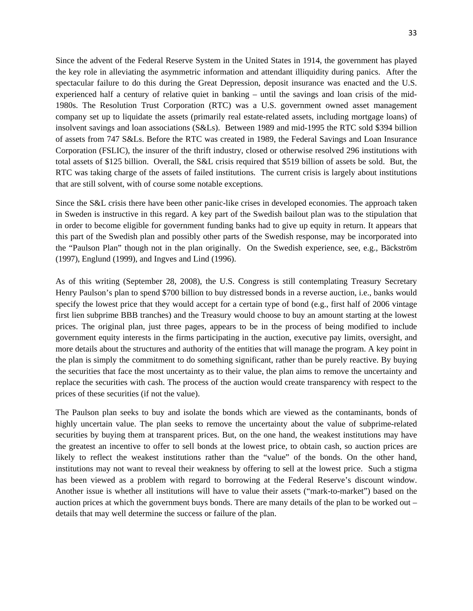Since the advent of the Federal Reserve System in the United States in 1914, the government has played the key role in alleviating the asymmetric information and attendant illiquidity during panics. After the spectacular failure to do this during the Great Depression, deposit insurance was enacted and the U.S. experienced half a century of relative quiet in banking – until the savings and loan crisis of the mid-1980s. The Resolution Trust Corporation (RTC) was a U.S. government owned asset management company set up to liquidate the assets (primarily real estate-related assets, including mortgage loans) of insolvent savings and loan associations (S&Ls). Between 1989 and mid-1995 the RTC sold \$394 billion of assets from 747 S&Ls. Before the RTC was created in 1989, the Federal Savings and Loan Insurance Corporation (FSLIC), the insurer of the thrift industry, closed or otherwise resolved 296 institutions with total assets of \$125 billion. Overall, the S&L crisis required that \$519 billion of assets be sold. But, the RTC was taking charge of the assets of failed institutions. The current crisis is largely about institutions that are still solvent, with of course some notable exceptions.

Since the S&L crisis there have been other panic-like crises in developed economies. The approach taken in Sweden is instructive in this regard. A key part of the Swedish bailout plan was to the stipulation that in order to become eligible for government funding banks had to give up equity in return. It appears that this part of the Swedish plan and possibly other parts of the Swedish response, may be incorporated into the "Paulson Plan" though not in the plan originally. On the Swedish experience, see, e.g., Bäckström (1997), Englund (1999), and Ingves and Lind (1996).

As of this writing (September 28, 2008), the U.S. Congress is still contemplating Treasury Secretary Henry Paulson's plan to spend \$700 billion to buy distressed bonds in a reverse auction, i.e., banks would specify the lowest price that they would accept for a certain type of bond (e.g., first half of 2006 vintage first lien subprime BBB tranches) and the Treasury would choose to buy an amount starting at the lowest prices. The original plan, just three pages, appears to be in the process of being modified to include government equity interests in the firms participating in the auction, executive pay limits, oversight, and more details about the structures and authority of the entities that will manage the program. A key point in the plan is simply the commitment to do something significant, rather than be purely reactive. By buying the securities that face the most uncertainty as to their value, the plan aims to remove the uncertainty and replace the securities with cash. The process of the auction would create transparency with respect to the prices of these securities (if not the value).

The Paulson plan seeks to buy and isolate the bonds which are viewed as the contaminants, bonds of highly uncertain value. The plan seeks to remove the uncertainty about the value of subprime-related securities by buying them at transparent prices. But, on the one hand, the weakest institutions may have the greatest an incentive to offer to sell bonds at the lowest price, to obtain cash, so auction prices are likely to reflect the weakest institutions rather than the "value" of the bonds. On the other hand, institutions may not want to reveal their weakness by offering to sell at the lowest price. Such a stigma has been viewed as a problem with regard to borrowing at the Federal Reserve's discount window. Another issue is whether all institutions will have to value their assets ("mark-to-market") based on the auction prices at which the government buys bonds. There are many details of the plan to be worked out – details that may well determine the success or failure of the plan.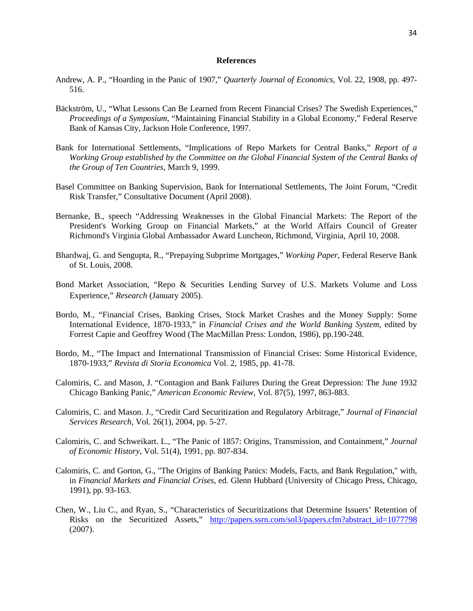#### **References**

- Andrew, A. P., "Hoarding in the Panic of 1907," *Quarterly Journal of Economics*, Vol. 22, 1908, pp. 497- 516.
- Bäckström, U., "What Lessons Can Be Learned from Recent Financial Crises? The Swedish Experiences," *Proceedings of a Symposium*, "Maintaining Financial Stability in a Global Economy," Federal Reserve Bank of Kansas City, Jackson Hole Conference, 1997.
- Bank for International Settlements, "Implications of Repo Markets for Central Banks," *Report of a Working Group established by the Committee on the Global Financial System of the Central Banks of the Group of Ten Countries*, March 9, 1999.
- Basel Committee on Banking Supervision, Bank for International Settlements, The Joint Forum, "Credit Risk Transfer," Consultative Document (April 2008).
- Bernanke, B., speech "Addressing Weaknesses in the Global Financial Markets: The Report of the President's Working Group on Financial Markets," at the World Affairs Council of Greater Richmond's Virginia Global Ambassador Award Luncheon, Richmond, Virginia, April 10, 2008.
- Bhardwaj, G. and Sengupta, R., "Prepaying Subprime Mortgages," *Working Paper*, Federal Reserve Bank of St. Louis, 2008.
- Bond Market Association, "Repo & Securities Lending Survey of U.S. Markets Volume and Loss Experience," *Research* (January 2005).
- Bordo, M., "Financial Crises, Banking Crises, Stock Market Crashes and the Money Supply: Some International Evidence, 1870-1933," in *Financial Crises and the World Banking System*, edited by Forrest Capie and Geoffrey Wood (The MacMillan Press: London, 1986), pp.190-248.
- Bordo, M., "The Impact and International Transmission of Financial Crises: Some Historical Evidence, 1870-1933," *Revista di Storia Economica* Vol. 2, 1985, pp. 41-78.
- Calomiris, C. and Mason, J. "Contagion and Bank Failures During the Great Depression: The June 1932 Chicago Banking Panic," *American Economic Review*, Vol. 87(5), 1997, 863-883.
- Calomiris, C. and Mason. J., "Credit Card Securitization and Regulatory Arbitrage," *Journal of Financial Services Research*, Vol. 26(1), 2004, pp. 5-27.
- Calomiris, C. and Schweikart. L., "The Panic of 1857: Origins, Transmission, and Containment," *Journal of Economic History*, Vol. 51(4), 1991, pp. 807-834.
- Calomiris, C. and Gorton, G., "The Origins of Banking Panics: Models, Facts, and Bank Regulation," with, in *Financial Markets and Financial Crises*, ed. Glenn Hubbard (University of Chicago Press, Chicago, 1991), pp. 93-163.
- Chen, W., Liu C., and Ryan, S., "Characteristics of Securitizations that Determine Issuers' Retention of Risks on the Securitized Assets," [http://papers.ssrn.com/sol3/papers.cfm?abstract\\_id=1077798](http://papers.ssrn.com/sol3/papers.cfm?abstract_id=1077798)  (2007).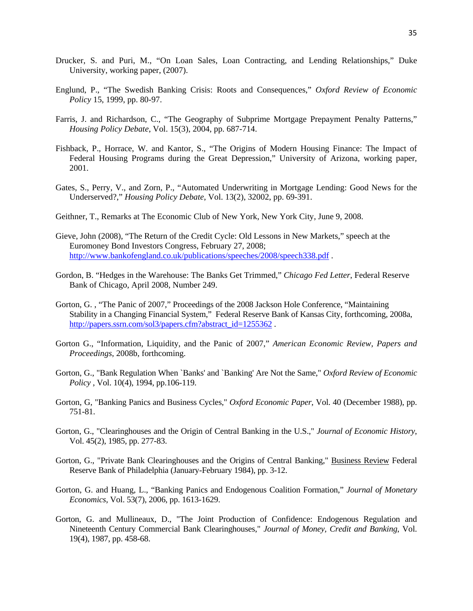- Drucker, S. and Puri, M., "On Loan Sales, Loan Contracting, and Lending Relationships," Duke University, working paper, (2007).
- Englund, P., "The Swedish Banking Crisis: Roots and Consequences," *Oxford Review of Economic Policy* 15, 1999, pp. 80-97.
- Farris, J. and Richardson, C., "The Geography of Subprime Mortgage Prepayment Penalty Patterns," *Housing Policy Debate*, Vol. 15(3), 2004, pp. 687-714.
- Fishback, P., Horrace, W. and Kantor, S., "The Origins of Modern Housing Finance: The Impact of Federal Housing Programs during the Great Depression," University of Arizona, working paper, 2001.
- Gates, S., Perry, V., and Zorn, P., "Automated Underwriting in Mortgage Lending: Good News for the Underserved?," *Housing Policy Debate*, Vol. 13(2), 32002, pp. 69-391.
- Geithner, T., Remarks at The Economic Club of New York, New York City, June 9, 2008.
- Gieve, John (2008), "The Return of the Credit Cycle: Old Lessons in New Markets," speech at the Euromoney Bond Investors Congress, February 27, 2008; <http://www.bankofengland.co.uk/publications/speeches/2008/speech338.pdf>.
- Gordon, B. "Hedges in the Warehouse: The Banks Get Trimmed," *Chicago Fed Letter*, Federal Reserve Bank of Chicago, April 2008, Number 249.
- Gorton, G. , "The Panic of 2007," Proceedings of the 2008 Jackson Hole Conference, "Maintaining Stability in a Changing Financial System," Federal Reserve Bank of Kansas City, forthcoming, 2008a, [http://papers.ssrn.com/sol3/papers.cfm?abstract\\_id=1255362](http://papers.ssrn.com/sol3/papers.cfm?abstract_id=1255362).
- Gorton G., "Information, Liquidity, and the Panic of 2007," *American Economic Review, Papers and Proceedings*, 2008b, forthcoming.
- Gorton, G., "Bank Regulation When `Banks' and `Banking' Are Not the Same," *Oxford Review of Economic Policy* , Vol. 10(4), 1994, pp.106-119.
- Gorton, G, "Banking Panics and Business Cycles," *Oxford Economic Paper*, Vol. 40 (December 1988), pp. 751-81.
- Gorton, G., "Clearinghouses and the Origin of Central Banking in the U.S.," *Journal of Economic History*, Vol. 45(2), 1985, pp. 277-83.
- Gorton, G., "Private Bank Clearinghouses and the Origins of Central Banking," Business Review Federal Reserve Bank of Philadelphia (January-February 1984), pp. 3-12.
- Gorton, G. and Huang, L., "Banking Panics and Endogenous Coalition Formation," *Journal of Monetary Economics*, Vol. 53(7), 2006, pp. 1613-1629.
- Gorton, G. and Mullineaux, D., "The Joint Production of Confidence: Endogenous Regulation and Nineteenth Century Commercial Bank Clearinghouses," *Journal of Money, Credit and Banking*, Vol. 19(4), 1987, pp. 458-68.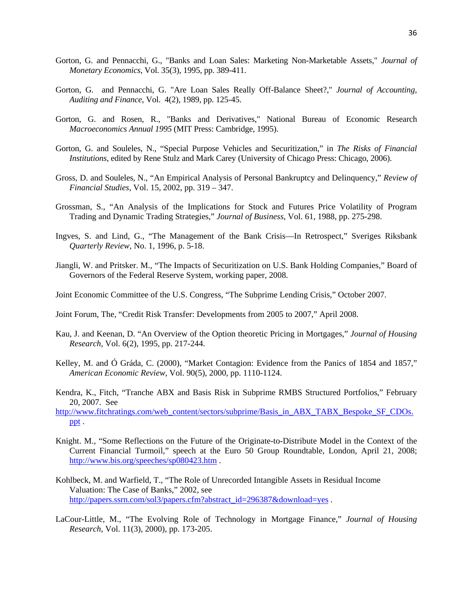- Gorton, G. and Pennacchi, G., "Banks and Loan Sales: Marketing Non-Marketable Assets," *Journal of Monetary Economics*, Vol. 35(3), 1995, pp. 389-411.
- Gorton, G. and Pennacchi, G. "Are Loan Sales Really Off-Balance Sheet?," *Journal of Accounting, Auditing and Finance*, Vol. 4(2), 1989, pp. 125-45.
- Gorton, G. and Rosen, R., "Banks and Derivatives," National Bureau of Economic Research *Macroeconomics Annual 1995* (MIT Press: Cambridge, 1995).
- Gorton, G. and Souleles, N., "Special Purpose Vehicles and Securitization," in *The Risks of Financial Institutions*, edited by Rene Stulz and Mark Carey (University of Chicago Press: Chicago, 2006).
- Gross, D. and Souleles, N., "An Empirical Analysis of Personal Bankruptcy and Delinquency," *Review of Financial Studies*, Vol. 15, 2002, pp. 319 – 347.
- Grossman, S., "An Analysis of the Implications for Stock and Futures Price Volatility of Program Trading and Dynamic Trading Strategies," *Journal of Business*, Vol. 61, 1988, pp. 275-298.
- Ingves, S. and Lind, G., "The Management of the Bank Crisis—In Retrospect," Sveriges Riksbank *Quarterly Review*, No. 1, 1996, p. 5-18.
- Jiangli, W. and Pritsker. M., "The Impacts of Securitization on U.S. Bank Holding Companies," Board of Governors of the Federal Reserve System, working paper, 2008.
- Joint Economic Committee of the U.S. Congress, "The Subprime Lending Crisis," October 2007.
- Joint Forum, The, "Credit Risk Transfer: Developments from 2005 to 2007," April 2008.
- Kau, J. and Keenan, D. "An Overview of the Option theoretic Pricing in Mortgages," *Journal of Housing Research*, Vol. 6(2), 1995, pp. 217-244.
- Kelley, M. and Ó Gráda, C. (2000), "Market Contagion: Evidence from the Panics of 1854 and 1857," *American Economic Review*, Vol. 90(5), 2000, pp. 1110-1124.
- Kendra, K., Fitch, "Tranche ABX and Basis Risk in Subprime RMBS Structured Portfolios," February 20, 2007. See
- [http://www.fitchratings.com/web\\_content/sectors/subprime/Basis\\_in\\_ABX\\_TABX\\_Bespoke\\_SF\\_CDOs.](http://www.fitchratings.com/web_content/sectors/subprime/Basis_in_ABX_TABX_Bespoke_SF_CDOs.ppt) [ppt](http://www.fitchratings.com/web_content/sectors/subprime/Basis_in_ABX_TABX_Bespoke_SF_CDOs.ppt) .
- Knight. M., "Some Reflections on the Future of the Originate-to-Distribute Model in the Context of the Current Financial Turmoil," speech at the Euro 50 Group Roundtable, London, April 21, 2008; <http://www.bis.org/speeches/sp080423.htm>.
- Kohlbeck, M. and Warfield, T., "The Role of Unrecorded Intangible Assets in Residual Income Valuation: The Case of Banks," 2002, see [http://papers.ssrn.com/sol3/papers.cfm?abstract\\_id=296387&download=yes](http://papers.ssrn.com/sol3/papers.cfm?abstract_id=296387&download=yes).
- LaCour-Little, M., "The Evolving Role of Technology in Mortgage Finance," *Journal of Housing Research*, Vol. 11(3), 2000), pp. 173-205.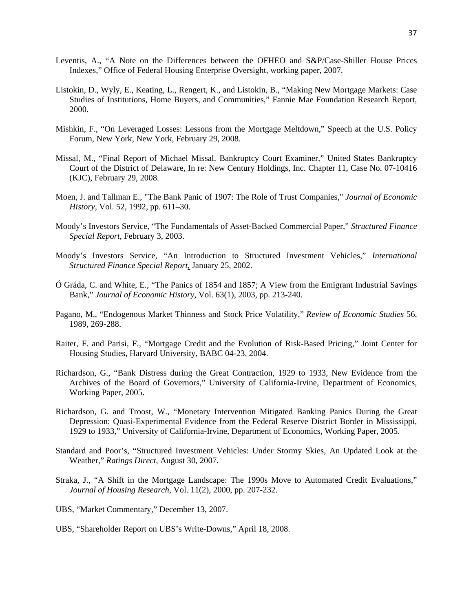- Leventis, A., "A Note on the Differences between the OFHEO and S&P/Case-Shiller House Prices Indexes," Office of Federal Housing Enterprise Oversight, working paper, 2007.
- Listokin, D., Wyly, E., Keating, L., Rengert, K., and Listokin, B., "Making New Mortgage Markets: Case Studies of Institutions, Home Buyers, and Communities," Fannie Mae Foundation Research Report, 2000.
- Mishkin, F., "On Leveraged Losses: Lessons from the Mortgage Meltdown," Speech at the U.S. Policy Forum, New York, New York, February 29, 2008.
- Missal, M., "Final Report of Michael Missal, Bankruptcy Court Examiner," United States Bankruptcy Court of the District of Delaware, In re: New Century Holdings, Inc. Chapter 11, Case No. 07-10416 (KJC), February 29, 2008.
- Moen, J. and Tallman E., "The Bank Panic of 1907: The Role of Trust Companies," *Journal of Economic History*, Vol. 52, 1992, pp. 611–30.
- Moody's Investors Service, "The Fundamentals of Asset-Backed Commercial Paper," *Structured Finance Special Report*, February 3, 2003.
- Moody's Investors Service, "An Introduction to Structured Investment Vehicles," *International Structured Finance Special Report*, January 25, 2002.
- Ó Gráda, C. and White, E., "The Panics of 1854 and 1857; A View from the Emigrant Industrial Savings Bank," *Journal of Economic History*, Vol. 63(1), 2003, pp. 213-240.
- Pagano, M., "Endogenous Market Thinness and Stock Price Volatility," *Review of Economic Studies* 56, 1989, 269-288.
- Raiter, F. and Parisi, F., "Mortgage Credit and the Evolution of Risk-Based Pricing," Joint Center for Housing Studies, Harvard University, BABC 04-23, 2004.
- Richardson, G., "Bank Distress during the Great Contraction, 1929 to 1933, New Evidence from the Archives of the Board of Governors," University of California-Irvine, Department of Economics, Working Paper, 2005.
- Richardson, G. and Troost, W., "Monetary Intervention Mitigated Banking Panics During the Great Depression: Quasi-Experimental Evidence from the Federal Reserve District Border in Mississippi, 1929 to 1933," University of California-Irvine, Department of Economics, Working Paper, 2005.
- Standard and Poor's, "Structured Investment Vehicles: Under Stormy Skies, An Updated Look at the Weather," *Ratings Direct*, August 30, 2007.
- Straka, J., "A Shift in the Mortgage Landscape: The 1990s Move to Automated Credit Evaluations," *Journal of Housing Research*, Vol. 11(2), 2000, pp. 207-232.
- UBS, "Market Commentary," December 13, 2007.
- UBS, "Shareholder Report on UBS's Write-Downs," April 18, 2008.